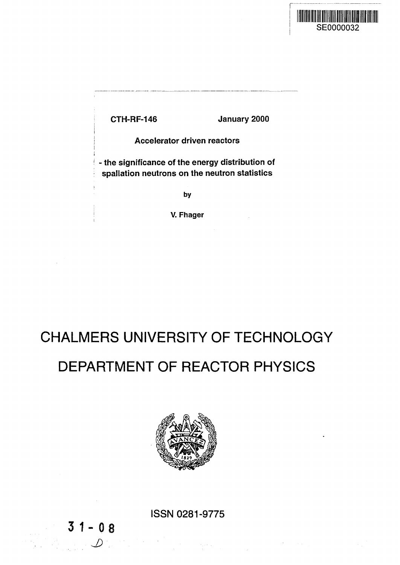

CTH-RF-146 January 2000

Accelerator driven reactors

- the significance of the energy distribution of spallation neutrons on the neutron statistics

**by**

**V. Fhager**

# CHALMERS UNIVERSITY OF TECHNOLOGY

# DEPARTMENT OF REACTOR PHYSICS



ISSN 0281-9775

 $31 - 08$ 

**J):**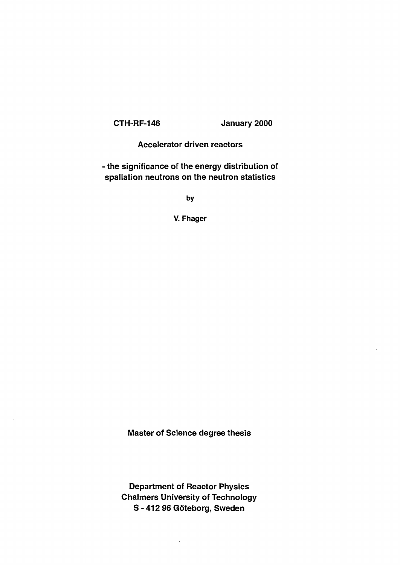CTH-RF-146 January 2000

 $\mathcal{L}_{\text{max}}$ 

#### Accelerator driven reactors

- the significance of the energy distribution of spallation neutrons on the neutron statistics

**by**

**V. Fhager**

Master of Science degree thesis

Department of Reactor Physics Chalmers University of Technology S - 412 96 Göteborg, Sweden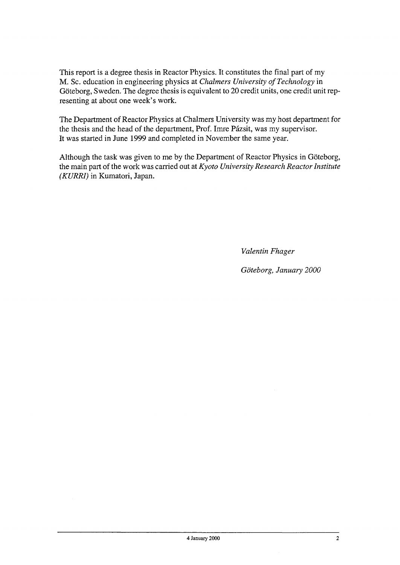This report is a degree thesis in Reactor Physics. It constitutes the final part of my M. Sc. education in engineering physics at *Chalmers University of Technology* in Göteborg, Sweden. The degree thesis is equivalent to 20 credit units, one credit unit representing at about one week's work.

The Department of Reactor Physics at Chalmers University was my host department for the thesis and the head of the department, Prof. Imre Pázsit, was my supervisor. It was started in June 1999 and completed in November the same year.

Although the task was given to me by the Department of Reactor Physics in Göteborg, the main part of the work was carried out at *Kyoto University Research Reactor Institute (KURRI)* in Kumatori, Japan.

*Valentin Fhager*

*Goteborg, January 2000*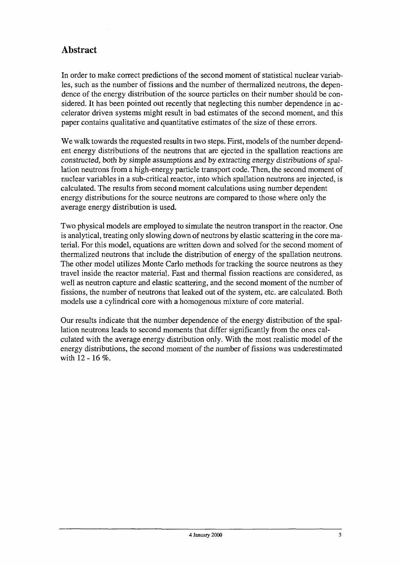## **Abstract**

In order to make correct predictions of the second moment of statistical nuclear variables, such as the number of fissions and the number of thermalized neutrons, the dependence of the energy distribution of the source particles on their number should be considered. It has been pointed out recently that neglecting this number dependence in accelerator driven systems might result in bad estimates of the second moment, and this paper contains qualitative and quantitative estimates of the size of these errors.

We walk towards the requested results in two steps. First, models of the number dependent energy distributions of the neutrons that are ejected in the spallation reactions are constructed, both by simple assumptions and by extracting energy distributions of spallation neutrons from a high-energy particle transport code. Then, the second moment of nuclear variables in a sub-critical reactor, into which spallation neutrons are injected, is calculated. The results from second moment calculations using number dependent energy distributions for the source neutrons are compared to those where only the average energy distribution is used.

Two physical models are employed to simulate the neutron transport in the reactor. One is analytical, treating only slowing down of neutrons by elastic scattering in the core material. For this model, equations are written down and solved for the second moment of thermalized neutrons that include the distribution of energy of the spallation neutrons. The other model utilizes Monte Carlo methods for tracking the source neutrons as they travel inside the reactor material. Fast and thermal fission reactions are considered, as well as neutron capture and elastic scattering, and the second moment of the number of fissions, the number of neutrons that leaked out of the system, etc. are calculated. Both models use a cylindrical core with a homogenous mixture of core material.

Our results indicate that the number dependence of the energy distribution of the spallation neutrons leads to second moments that differ significantly from the ones calculated with the average energy distribution only. With the most realistic model of the energy distributions, the second moment of the number of fissions was underestimated with 12 - 16 %.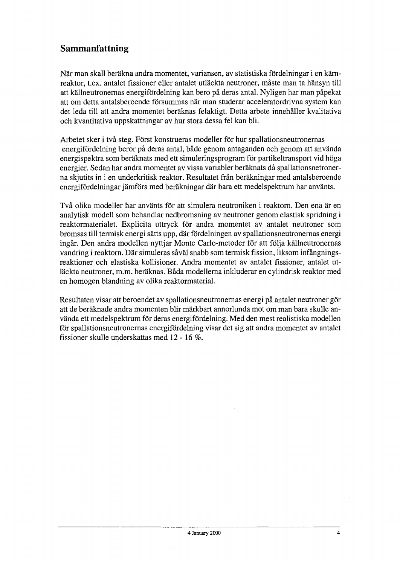## Sammanfattning

När man skall beräkna andra momentet, variansen, av statistiska fördelningar i en kärnreaktor, t.ex. antalet fissioner eller antalet utläckta neutroner, måste man ta hänsyn till att källneutronernas energifördelning kan bero på deras antal. Nyligen har man påpekat att om detta antalsberoende försummas när man studerar acceleratordrivna system kan det leda till att andra momentet beräknas felaktigt. Detta arbete innehåller kvalitativa och kvantitativa uppskattningar av hur stora dessa fei kan bli.

Arbetet sker i två steg. Först konstrueras modeller för hur spallationsneutronernas energifördelning beror på deras antal, både genom antaganden och genom att använda energispektra som beräknats med ett simuleringsprogram för partikeltransport vid höga energier. Sedan har andra momentet av vissa variabler beräknats då spallationsnetronerna skjutits in i en underkritisk reaktor. Resultatet från beräkningar med antalsberoende energifördelningar jämförs med beräkningar dar bara ett medelspektrum har använts.

Två olika modeller har använts för att simulera neutroniken i reaktorn. Den ena är en analytisk modeli som behandlar nedbromsning av neutroner genom elastisk spridning i reaktormaterialet. Explicita uttryck för andra momentet av antalet neutroner som bromsas till termisk energi sätts upp, dar fördelningen av spallationsneutronernas energi ingår. Den andra modellen nyttjar Monte Carlo-metoder för att följa källneutronernas vandring i reaktorn. Där simuleras såväl snabb som termisk fission, liksom infångningsreaktioner och elastiska kollisioner. Andra momentet av antalet fissioner, antalet utläckta neutroner, m.m. beräknas. Båda modellerna inkluderar en cylindrisk reaktor med en homogen blandning av olika reaktormaterial.

Resultaten visar att beroendet av spallationsneutronernas energi på antalet neutroner gör att de beräknade andra momenten blir märkbart annorlunda mot om man bara skulle använda ett medelspektrum för deras energifördelning. Med den mest realistiska modellen för spallationsneutronernas energifördelning visar det sig att andra momentet av antalet fissioner skulle underskattas med 12 - 16 *%.*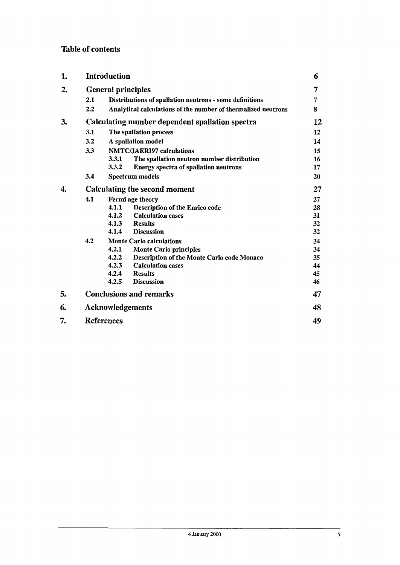#### Table of contents

| 1. |                                                 | Introduction                                                  |    |  |  |
|----|-------------------------------------------------|---------------------------------------------------------------|----|--|--|
| 2. | <b>General principles</b>                       |                                                               |    |  |  |
|    | 2.1                                             | Distributions of spallation neutrons - some definitions       | 7  |  |  |
|    | 2.2                                             | Analytical calculations of the number of thermalized neutrons |    |  |  |
| 3. | Calculating number dependent spallation spectra |                                                               |    |  |  |
|    | 3.1                                             | The spallation process                                        |    |  |  |
|    | 3.2                                             | A spallation model                                            |    |  |  |
|    | 3.3                                             | <b>NMTC/JAERI97</b> calculations                              |    |  |  |
|    |                                                 | 3.3.1<br>The spallation neutron number distribution           | 16 |  |  |
|    |                                                 | 3.3.2<br><b>Energy spectra of spallation neutrons</b>         | 17 |  |  |
|    | 3.4                                             | Spectrum models                                               | 20 |  |  |
| 4. | Calculating the second moment                   |                                                               |    |  |  |
|    | 4.1                                             | Fermi age theory                                              | 27 |  |  |
|    |                                                 | 4.1.1<br>Description of the Enrico code                       | 28 |  |  |
|    |                                                 | 4.1.2<br><b>Calculation cases</b>                             | 31 |  |  |
|    |                                                 | 4.1.3<br><b>Results</b>                                       | 32 |  |  |
|    |                                                 | 4.1.4<br><b>Discussion</b>                                    | 32 |  |  |
|    | 4.2                                             | <b>Monte Carlo calculations</b>                               |    |  |  |
|    |                                                 | 4.2.1<br><b>Monte Carlo principles</b>                        | 34 |  |  |
|    |                                                 | 4.2.2<br>Description of the Monte Carlo code Monaco           | 35 |  |  |
|    |                                                 | 4.2.3<br><b>Calculation cases</b>                             | 44 |  |  |
|    |                                                 | <b>Results</b><br>4.2.4                                       | 45 |  |  |
|    |                                                 | 4.2.5<br><b>Discussion</b>                                    | 46 |  |  |
| 5. |                                                 | <b>Conclusions and remarks</b>                                | 47 |  |  |
| 6. |                                                 | <b>Acknowledgements</b>                                       | 48 |  |  |
| 7. |                                                 | <b>References</b>                                             | 49 |  |  |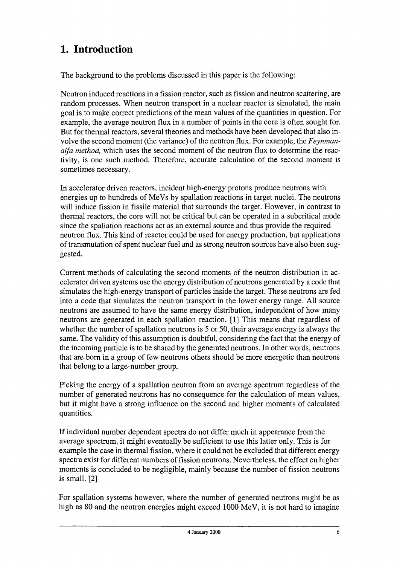# **1. Introduction**

The background to the problems discussed in this paper is the following:

Neutron induced reactions in a fission reactor, such as fission and neutron scattering, are random processes. When neutron transport in a nuclear reactor is simulated, the main goal is to make correct predictions of the mean values of the quantities in question. For example, the average neutron flux in a number of points in the core is often sought for. But for thermal reactors, several theories and methods have been developed that also involve the second moment (the variance) of the neutron flux. For example, the *Feynmanalfa method,* which uses the second moment of the neutron flux to determine the reactivity, is one such method. Therefore, accurate calculation of the second moment is sometimes necessary.

In accelerator driven reactors, incident high-energy protons produce neutrons with energies up to hundreds of MeVs by spallation reactions in target nuclei. The neutrons will induce fission in fissile material that surrounds the target. However, in contrast to thermal reactors, the core will not be critical but can be operated in a subcritical mode since the spallation reactions act as an external source and thus provide the required neutron flux. This kind of reactor could be used for energy production, but applications of transmutation of spent nuclear fuel and as strong neutron sources have also been suggested.

Current methods of calculating the second moments of the neutron distribution in accelerator driven systems use the energy distribution of neutrons generated by a code that simulates the high-energy transport of particles inside the target. These neutrons are fed into a code that simulates the neutron transport in the lower energy range. All source neutrons are assumed to have the same energy distribution, independent of how many neutrons are generated in each spallation reaction. [1] This means that regardless of whether the number of spallation neutrons is 5 or 50, their average energy is always the same. The validity of this assumption is doubtful, considering the fact that the energy of the incoming particle is to be shared by the generated neutrons. In other words, neutrons that are born in a group of few neutrons others should be more energetic than neutrons that belong to a large-number group.

Picking the energy of a spallation neutron from an average spectrum regardless of the number of generated neutrons has no consequence for the calculation of mean values, but it might have a strong influence on the second and higher moments of calculated quantities.

If individual number dependent spectra do not differ much in appearance from the average spectrum, it might eventually be sufficient to use this latter only. This is for example the case in thermal fission, where it could not be excluded that different energy spectra exist for different numbers of fission neutrons. Nevertheless, the effect on higher moments is concluded to be negligible, mainly because the number of fission neutrons is small. [2]

For spallation systems however, where the number of generated neutrons might be as high as 80 and the neutron energies might exceed 1000 MeV, it is not hard to imagine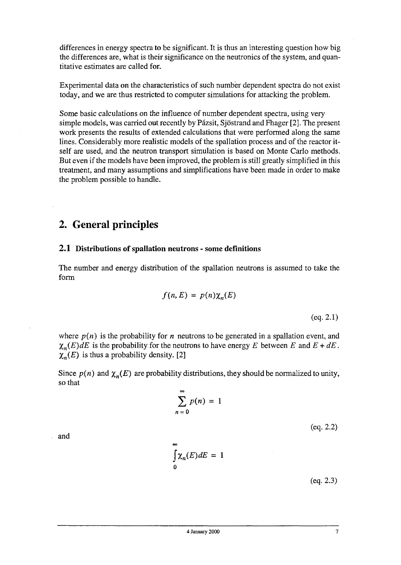differences in energy spectra to be significant. It is thus an interesting question how big the differences are, what is their significance on the neutronics of the system, and quantitative estimates are called for.

Experimental data on the characteristics of such number dependent spectra do not exist today, and we are thus restricted to computer simulations for attacking the problem.

Some basic calculations on the influence of number dependent spectra, using very simple models, was carried out recently by Pázsit, Sjöstrand and Fhager [2]. The present work presents the results of extended calculations that were performed along the same lines. Considerably more realistic models of the spallation process and of the reactor itself are used, and the neutron transport simulation is based on Monte Carlo methods. But even if the models have been improved, the problem is still greatly simplified in this treatment, and many assumptions and simplifications have been made in order to make the problem possible to handle.

# **2. General principles**

#### **2.1 Distributions of spallation neutrons** - **some definitions**

The number and energy distribution of the spallation neutrons is assumed to take the form

$$
f(n, E) = p(n) \chi_n(E)
$$

(eq. 2.1)

where  $p(n)$  is the probability for *n* neutrons to be generated in a spallation event, and  $\chi_n(E)dE$  is the probability for the neutrons to have energy *E* between *E* and  $E + dE$ .  $\chi_n(E)$  is thus a probability density. [2]

Since  $p(n)$  and  $\chi_n(E)$  are probability distributions, they should be normalized to unity, so that

$$
\sum_{n=0}^{\infty} p(n) = 1
$$

(eq. 2.2)

and

$$
\int_{0}^{\infty} \chi_{n}(E) dE = 1
$$

(eq. 2.3)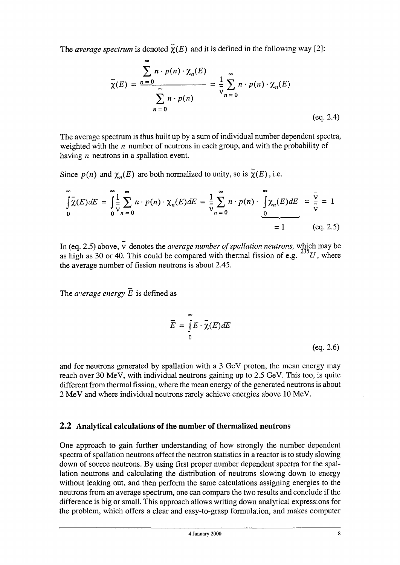The *average spectrum* is denoted  $\overline{\chi}(E)$  and it is defined in the following way [2]:

$$
\overline{\chi}(E) = \frac{\sum_{n=0}^{\infty} n \cdot p(n) \cdot \chi_n(E)}{\sum_{n=0}^{\infty} n \cdot p(n)} = \frac{1}{\nu} \sum_{n=0}^{\infty} n \cdot p(n) \cdot \chi_n(E)
$$
\n(eq. 2.4)

The average spectrum is thus built up by a sum of individual number dependent spectra, weighted with the *n* number of neutrons in each group, and with the probability of having *n* neutrons in a spallation event.

Since  $p(n)$  and  $\chi_n(E)$  are both normalized to unity, so is  $\tilde{\chi}(E)$ , i.e.

$$
\int_{0}^{\infty} \overline{\chi}(E) dE = \int_{0}^{\infty} \frac{1}{\nu} \sum_{n=0}^{\infty} n \cdot p(n) \cdot \chi_{n}(E) dE = \frac{1}{\nu} \sum_{n=0}^{\infty} n \cdot p(n) \cdot \int_{0}^{\infty} \chi_{n}(E) dE = \frac{\overline{\nu}}{\overline{\nu}} = 1
$$
  
= 1 (eq. 2.5)

In (eq. 2.5) above, v denotes the *average number of spallation neutrons,* which may be as high as 30 or 40. This could be compared with thermal fission of e.g.  $\mathscr{L}U$ , where the average number of fission neutrons is about 2.45.

The *average energy*  $\overline{E}$  is defined as

$$
\overline{E} = \int_{0}^{\infty} E \cdot \overline{\chi}(E) dE
$$
\n(eq. 2.6)

and for neutrons generated by spallation with a 3 GeV proton, the mean energy may reach over 30 MeV, with individual neutrons gaining up to 2.5 GeV. This too, is quite different from thermal fission, where the mean energy of the generated neutrons is about 2 MeV and where individual neutrons rarely achieve energies above 10 MeV.

#### **2.2 Analytical calculations of the number of thermalized neutrons**

One approach to gain further understanding of how strongly the number dependent spectra of spallation neutrons affect the neutron statistics in a reactor is to study slowing down of source neutrons. By using first proper number dependent spectra for the spallation neutrons and calculating the distribution of neutrons slowing down to energy without leaking out, and then perform the same calculations assigning energies to the neutrons from an average spectrum, one can compare the two results and conclude if the difference is big or small. This approach allows writing down analytical expressions for the problem, which offers a clear and easy-to-grasp formulation, and makes computer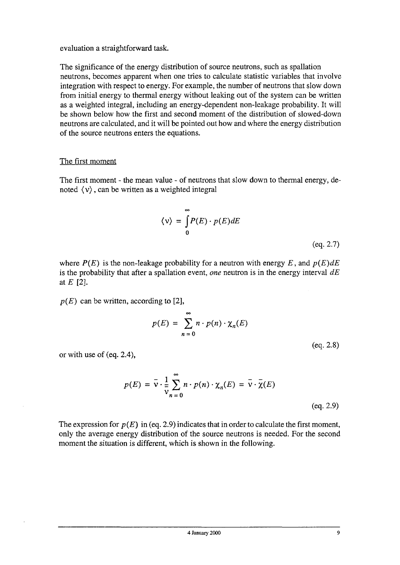evaluation a straightforward task.

The significance of the energy distribution of source neutrons, such as spallation neutrons, becomes apparent when one tries to calculate statistic variables that involve integration with respect to energy. For example, the number of neutrons that slow down from initial energy to thermal energy without leaking out of the system can be written as a weighted integral, including an energy-dependent non-leakage probability. It will be shown below how the first and second moment of the distribution of slowed-down neutrons are calculated, and it will be pointed out how and where the energy distribution of the source neutrons enters the equations.

#### The first moment

The first moment - the mean value - of neutrons that slow down to thermal energy, denoted  $\langle v \rangle$ , can be written as a weighted integral

$$
\langle v \rangle = \int_{0}^{\infty} P(E) \cdot p(E) dE
$$
\n(eq. 2.7)

where  $P(E)$  is the non-leakage probability for a neutron with energy E, and  $p(E)dE$ is the probability that after a spallation event, *one* neutron is in the energy interval *dE* at *E* [2].

 $p(E)$  can be written, according to [2],

$$
p(E) = \sum_{n=0}^{\infty} n \cdot p(n) \cdot \chi_n(E)
$$

(eq. 2.8)

or with use of (eq. 2.4),

$$
p(E) = \overline{v} \cdot \frac{1}{\overline{v}} \sum_{n=0}^{\infty} n \cdot p(n) \cdot \chi_n(E) = \overline{v} \cdot \overline{\chi}(E)
$$
\n(eq. 2.9)

The expression for  $p(E)$  in (eq. 2.9) indicates that in order to calculate the first moment, only the average energy distribution of the source neutrons is needed. For the second moment the situation is different, which is shown in the following.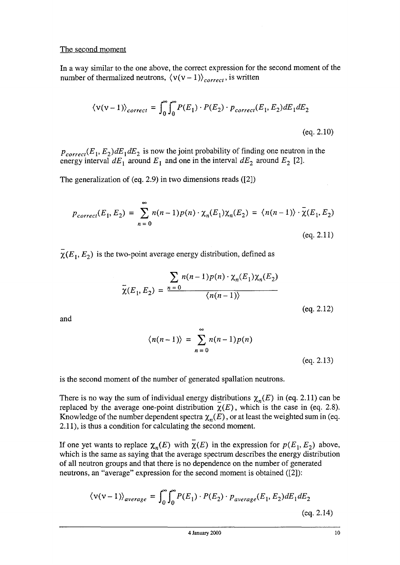#### The second moment

In a way similar to the one above, the correct expression for the second moment of the number of thermalized neutrons,  $\langle v(v-1) \rangle_{\text{correct}}$ , is written

$$
\langle v(v-1) \rangle_{correct} = \int_0^\infty \int_0^\infty P(E_1) \cdot P(E_2) \cdot p_{correct}(E_1, E_2) dE_1 dE_2
$$
\n
$$
(eq. 2.10)
$$

 $p_{correct}(E_1, E_2)$ *dE*<sub>1</sub>*dE*<sub>2</sub> is now the joint probability of finding one neutron in the energy interval  $dE_1$  around  $E_1$  and one in the interval  $dE_2$  around  $E_2$  [2].

The generalization of (eq. 2.9) in two dimensions reads ([2])

$$
p_{correct}(E_1, E_2) = \sum_{n=0}^{\infty} n(n-1)p(n) \cdot \chi_n(E_1)\chi_n(E_2) = \langle n(n-1)\rangle \cdot \overline{\chi}(E_1, E_2)
$$
\n(eq. 2.11)

 $\chi(E_1, E_2)$  is the two-point average energy distribution, defined as

$$
\overline{\chi}(E_1, E_2) = \frac{\sum_{n=0}^{\infty} n(n-1)p(n) \cdot \chi_n(E_1)\chi_n(E_2)}{\langle n(n-1)\rangle}
$$

and

$$
\langle n(n-1) \rangle = \sum_{n=0}^{\infty} n(n-1)p(n)
$$
 (eq. 2.13)

is the second moment of the number of generated spallation neutrons.

There is no way the sum of individual energy distributions  $\chi_n(E)$  in (eq. 2.11) can be replaced by the average one-point distribution  $\chi(E)$ , which is the case in (eq. 2.8). Knowledge of the number dependent spectra  $\chi_n(E)$ , or at least the weighted sum in (eq. 2.11), is thus a condition for calculating the second moment.

If one yet wants to replace  $\chi_n(E)$  with  $\overline{\chi}(E)$  in the expression for  $p(E_1, E_2)$  above, which is the same as saying that the average spectrum describes the energy distribution of all neutron groups and that there is no dependence on the number of generated neutrons, an "average" expression for the second moment is obtained ([2]):

$$
\langle v(v-1) \rangle_{\text{average}} = \int_0^\infty \int_0^\infty P(E_1) \cdot P(E_2) \cdot p_{\text{average}}(E_1, E_2) dE_1 dE_2
$$
\n
$$
\text{(eq. 2.14)}
$$

(eq. 2.12)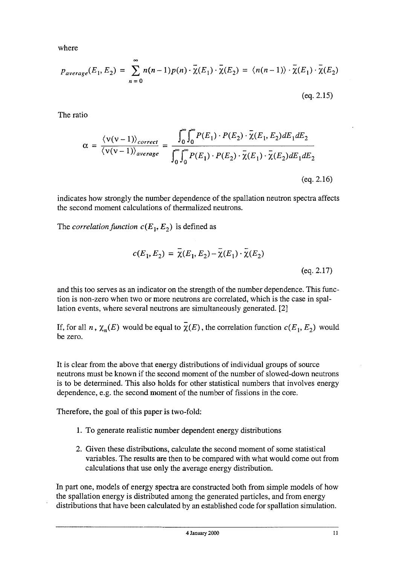where

$$
p_{average}(E_1, E_2) = \sum_{n=0}^{\infty} n(n-1)p(n) \cdot \overline{\chi}(E_1) \cdot \overline{\chi}(E_2) = \langle n(n-1) \rangle \cdot \overline{\chi}(E_1) \cdot \overline{\chi}(E_2)
$$

(eq. 2.15)

The ratio

$$
\alpha = \frac{\langle v(v-1) \rangle_{correct}}{\langle v(v-1) \rangle_{average}} = \frac{\int_0^{\infty} \int_0^{\infty} P(E_1) \cdot P(E_2) \cdot \overline{\chi}(E_1, E_2) dE_1 dE_2}{\int_0^{\infty} \int_0^{\infty} P(E_1) \cdot P(E_2) \cdot \overline{\chi}(E_1) \cdot \overline{\chi}(E_2) dE_1 dE_2}
$$
\n
$$
(eq. 2.16)
$$

indicates how strongly the number dependence of the spallation neutron spectra affects the second moment calculations of thermalized neutrons.

The *correlation function*  $c(E_1, E_2)$  is defined as

$$
c(E_1, E_2) = \overline{\chi}(E_1, E_2) - \overline{\chi}(E_1) \cdot \overline{\chi}(E_2)
$$
\n(eq. 2.17)

and this too serves as an indicator on the strength of the number dependence. This function is non-zero when two or more neutrons are correlated, which is the case in spallation events, where several neutrons are simultaneously generated. [2]

If, for all *n*,  $\chi_n(E)$  would be equal to  $\overline{\chi}(E)$ , the correlation function  $c(E_1, E_2)$  would be zero.

It is clear from the above that energy distributions of individual groups of source neutrons must be known if the second moment of the number of slowed-down neutrons is to be determined. This also holds for other statistical numbers that involves energy dependence, e.g. the second moment of the number of fissions in the core.

Therefore, the goal of this paper is two-fold:

- 1. To generate realistic number dependent energy distributions
- 2. Given these distributions, calculate the second moment of some statistical variables. The results are then to be compared with what would come out from calculations that use only the average energy distribution.

In part one, models of energy spectra are constructed both from simple models of how the spallation energy is distributed among the generated particles, and from energy distributions that have been calculated by an established code for spallation simulation.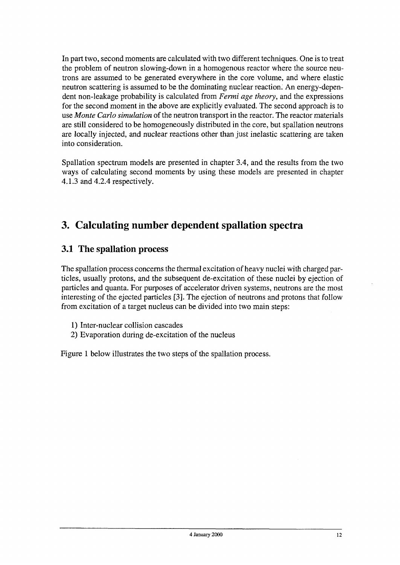In part two, second moments are calculated with two different techniques. One is to treat the problem of neutron slowing-down in a homogenous reactor where the source neutrons are assumed to be generated everywhere in the core volume, and where elastic neutron scattering is assumed to be the dominating nuclear reaction. An energy-dependent non-leakage probability is calculated from *Fermi age theory,* and the expressions for the second moment in the above are explicitly evaluated. The second approach is to use *Monte Carlo simulation* of the neutron transport in the reactor. The reactor materials are still considered to be homogeneously distributed in the core, but spallation neutrons are locally injected, and nuclear reactions other than just inelastic scattering are taken into consideration.

Spallation spectrum models are presented in chapter 3.4, and the results from the two ways of calculating second moments by using these models are presented in chapter 4.1.3 and 4.2.4 respectively.

# **3. Calculating number dependent spallation spectra**

### 3.1 The spallation process

The spallation process concerns the thermal excitation of heavy nuclei with charged particles, usually protons, and the subsequent de-excitation of these nuclei by ejection of particles and quanta. For purposes of accelerator driven systems, neutrons are the most interesting of the ejected particles [3]. The ejection of neutrons and protons that follow from excitation of a target nucleus can be divided into two main steps:

- 1) Inter-nuclear collision cascades
- 2) Evaporation during de-excitation of the nucleus

Figure 1 below illustrates the two steps of the spallation process.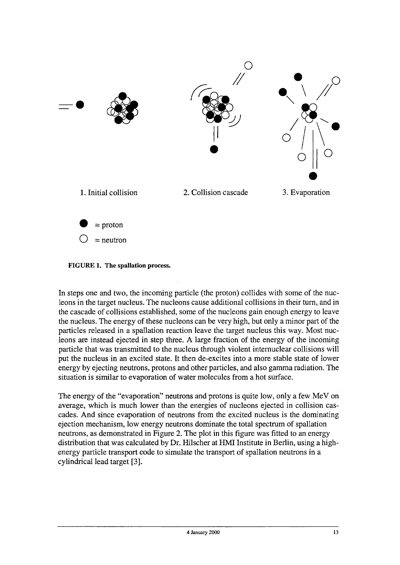



In steps one and two, the incoming particle (the proton) collides with some of the nucleons in the target nucleus. The nucleons cause additional collisions in their turn, and in the cascade of collisions established, some of the nucleons gain enough energy to leave the nucleus. The energy of these nucleons can be very high, but only a minor part of the particles released in a spallation reaction leave the target nucleus this way. Most nucleons are instead ejected in step three. A large fraction of the energy of the incoming particle that was transmitted to the nucleus through violent internuclear collisions will put the nucleus in an excited state. It then de-excites into a more stable state of lower energy by ejecting neutrons, protons and other particles, and also gamma radiation. The situation is similar to evaporation of water molecules from a hot surface.

The energy of the "evaporation" neutrons and protons is quite low, only a few MeV on average, which is much lower than the energies of nucleons ejected in collision cascades. And since evaporation of neutrons from the excited nucleus is the dominating ejection mechanism, low energy neutrons dominate the total spectrum of spallation neutrons, as demonstrated in Figure 2. The plot in this figure was fitted to an energy distribution that was calculated by Dr. Hilscher at HML Institute in Berlin, using a highenergy particle transport code to simulate the transport of spallation neutrons in a cylindrical lead target [3].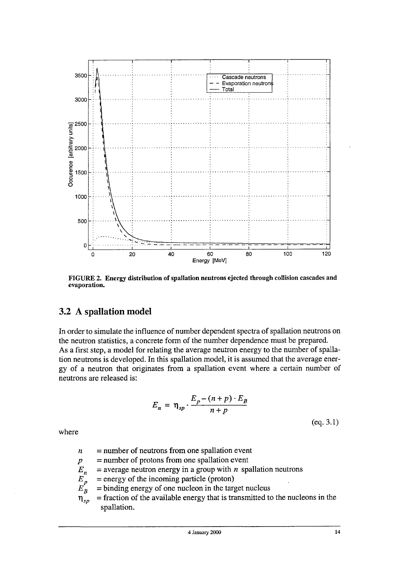

FIGURE 2. Energy distribution of spallation neutrons ejected through collision cascades and evaporation.

### 3.2 A spallation model

In order to simulate the influence of number dependent spectra of spallation neutrons on the neutron statistics, a concrete form of the number dependence must be prepared. As a first step, a model for relating the average neutron energy to the number of spallation neutrons is developed. In this spallation model, it is assumed that the average energy of a neutron that originates from a spallation event where a certain number of neutrons are released is:

$$
E_n = \eta_{sp} \cdot \frac{E_p - (n+p) \cdot E_B}{n+p}
$$
\n(eq. 3.1)

where

- *n* = number of neutrons from one spallation event
- *P* = number of protons from one spallation event
- $E_n$  $=$  average neutron energy in a group with *n* spallation neutrons
- *E.* = energy of the incoming particle (proton)
- *J B* = binding energy of one nucleon in the target nucleus
- *hp*  $=$  fraction of the available energy that is transmitted to the nucleons in the spallation.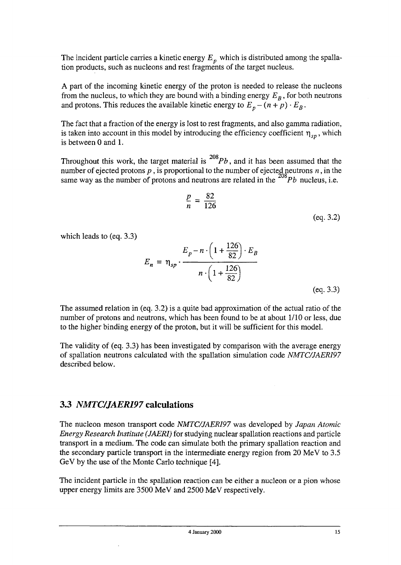The incident particle carries a kinetic energy  $E<sub>n</sub>$  which is distributed among the spallation products, such as nucleons and rest fragments of the target nucleus.

A part of the incoming kinetic energy of the proton is needed to release the nucleons from the nucleus, to which they are bound with a binding energy  $E_B$ , for both neutrons and protons. This reduces the available kinetic energy to  $E_p - (n + p) \cdot E_B$ .

The fact that a fraction of the energy is lost to rest fragments, and also gamma radiation, is taken into account in this model by introducing the efficiency coefficient  $\eta_{sp}$ , which is between 0 and 1.

Throughout this work, the target material is  $^{208}Pb$ , and it has been assumed that the Throughout this work, the target material is *Pb*, and it has been assumed that the number of ejected protons *p*, is proportional to the number of ejected neutrons *n*, in the same way as the number of protons and neutrons are related in the  *nucleus, i.e.* 

$$
\frac{p}{n}=\frac{82}{126}
$$

(eq. 3.2)

which leads to (eq. 3.3)

$$
E_n = \eta_{sp} \cdot \frac{E_p - n \cdot \left(1 + \frac{126}{82}\right) \cdot E_B}{n \cdot \left(1 + \frac{126}{82}\right)}
$$

(eq. 3.3)

The assumed relation in (eq. 3.2) is a quite bad approximation of the actual ratio of the number of protons and neutrons, which has been found to be at about 1/10 or less, due to the higher binding energy of the proton, but it will be sufficient for this model.

The validity of (eq. 3.3) has been investigated by comparison with the average energy of spallation neutrons calculated with the spallation simulation code *NMTC/JAERI97* described below.

### 3.3 *NMTC/JAERI97* calculations

The nucleon meson transport code *NMTC/JAERI97* was developed by *Japan Atomic Energy Research Institute (JAERI)* for studying nuclear spallation reactions and particle transport in a medium. The code can simulate both the primary spallation reaction and the secondary particle transport in the intermediate energy region from 20 MeV to 3.5 GeV by the use of the Monte Carlo technique [4].

The incident particle in the spallation reaction can be either a nucleon or a pion whose upper energy limits are 3500 MeV and 2500 MeV respectively.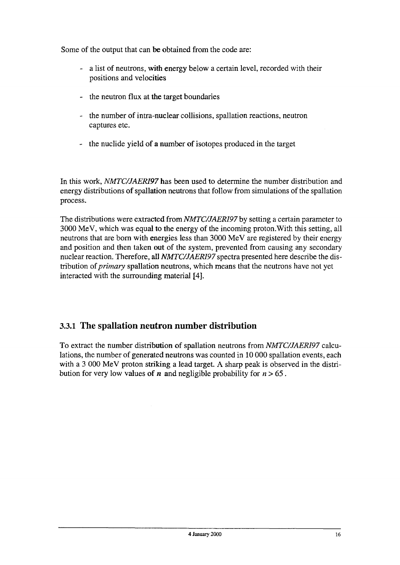Some of the output that can be obtained from the code are:

- a list of neutrons, with energy below a certain level, recorded with their positions and velocities
- the neutron flux at the target boundaries
- the number of intra-nuclear collisions, spallation reactions, neutron captures etc.
- the nuclide yield of a number of isotopes produced in the target

In this work, *NMTC/JAERI97* has been used to determine the number distribution and energy distributions of spallation neutrons that follow from simulations of the spallation process.

The distributions were extracted *from NMTC/JAERI97 by* setting a certain parameter to 3000 MeV, which was equal to the energy of the incoming proton.With this setting, all neutrons that are born with energies less than 3000 MeV are registered by their energy and position and then taken out of the system, prevented from causing any secondary nuclear reaction. Therefore, all *NMTC/JAERI97* spectra presented here describe the distribution of *primary* spallation neutrons, which means that the neutrons have not yet interacted with the surrounding material [4].

### 3.3.1 The spallation neutron number distribution

To extract the number distribution of spallation neutrons from *NMTC/JAERI97* calculations, the number of generated neutrons was counted in 10 000 spallation events, each with a 3 000 MeV proton striking a lead target. A sharp peak is observed in the distribution for very low values of *n* and negligible probability for  $n > 65$ .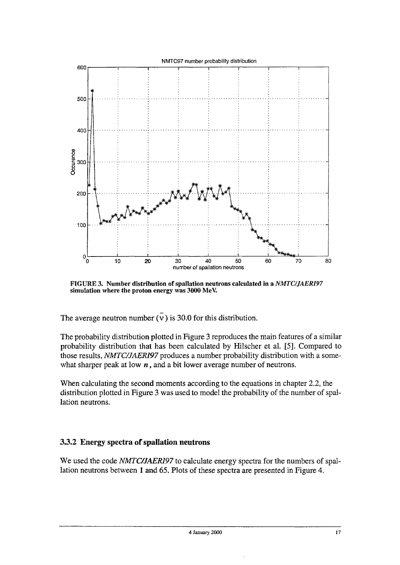

FIGURE 3. Number distribution of spallation neutrons calculated in a *NMTC/JAERI97* simulation where the proton energy was 3000 MeV.

The average neutron number  $(\overline{v})$  is 30.0 for this distribution.

The probability distribution plotted in Figure 3 reproduces the main features of a similar probability distribution that has been calculated by Hilscher et al. [5]. Compared to those results, *NMTC/JAERI97* produces a number probability distribution with a somewhat sharper peak at low  $n$ , and a bit lower average number of neutrons.

When calculating the second moments according to the equations in chapter 2.2, the distribution plotted in Figure 3 was used to model the probability of the number of spallation neutrons.

#### **33.2 Energy spectra of spallation neutrons**

We used the code *NMTC/JAER197* to calculate energy spectra for the numbers of spallation neutrons between 1 and 65. Plots of these spectra are presented in Figure 4.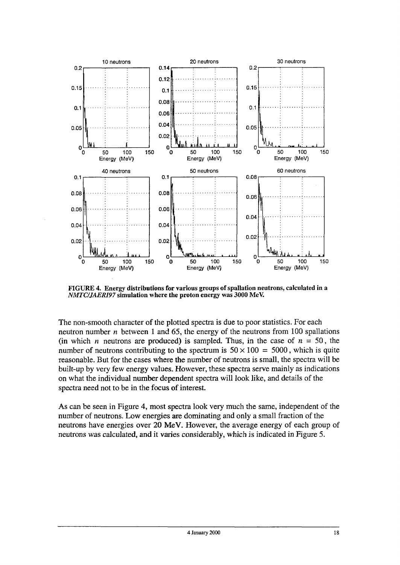

FIGURE 4. Energy distributions for various groups of spallation neutrons, calculated in a *NMTC/JAERI97* simulation where the proton energy was 3000 MeV.

The non-smooth character of the plotted spectra is due to poor statistics. For each neutron number *n* between 1 and 65, the energy of the neutrons from 100 spallations (in which *n* neutrons are produced) is sampled. Thus, in the case of  $n = 50$ , the number of neutrons contributing to the spectrum is  $50 \times 100 = 5000$ , which is quite reasonable. But for the cases where the number of neutrons is small, the spectra will be built-up by very few energy values. However, these spectra serve mainly as indications on what the individual number dependent spectra will look like, and details of the spectra need not to be in the focus of interest

As can be seen in Figure 4, most spectra look very much the same, independent of the number of neutrons. Low energies are dominating and only a small fraction of the neutrons have energies over 20 MeV. However, the average energy of each group of neutrons was calculated, and it varies considerably, which is indicated in Figure 5.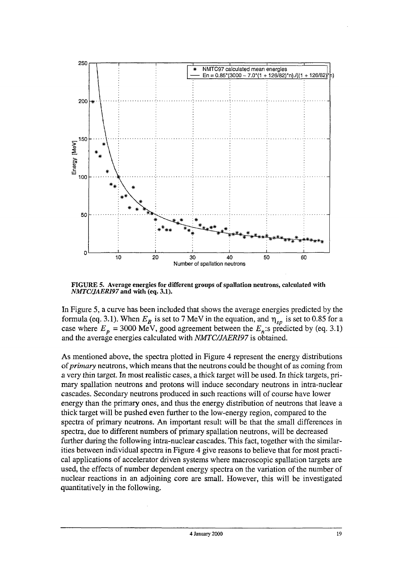

FIGURE 5. Average energies for different groups of spallation neutrons, calculated with *NMTC/JAERI97* and with (eq. 3.1).

In Figure 5, a curve has been included that shows the average energies predicted by the formula (eq. 3.1). When  $E_B$  is set to 7 MeV in the equation, and  $\eta_{sp}$  is set to 0.85 for a case where  $E_p = 3000 \text{ MeV}$ , good agreement between the  $E_n$ :s predicted by (eq. 3.1) and the average energies calculated with *NMTC/JAERI97* is obtained.

As mentioned above, the spectra plotted in Figure 4 represent the energy distributions of *primary* neutrons, which means that the neutrons could be thought of as coming from a very thin target. In most realistic cases, a thick target will be used. In thick targets, primary spallation neutrons and protons will induce secondary neutrons in intra-nuclear cascades. Secondary neutrons produced in such reactions will of course have lower energy than the primary ones, and thus the energy distribution of neutrons that leave a thick target will be pushed even further to the low-energy region, compared to the spectra of primary neutrons. An important result will be that the small differences in spectra, due to different numbers of primary spallation neutrons, will be decreased further during the following intra-nuclear cascades. This fact, together with the similarities between individual spectra in Figure 4 give reasons to believe that for most practical applications of accelerator driven systems where macroscopic spallation targets are used, the effects of number dependent energy spectra on the variation of the number of nuclear reactions in an adjoining core are small. However, this will be investigated quantitatively in the following.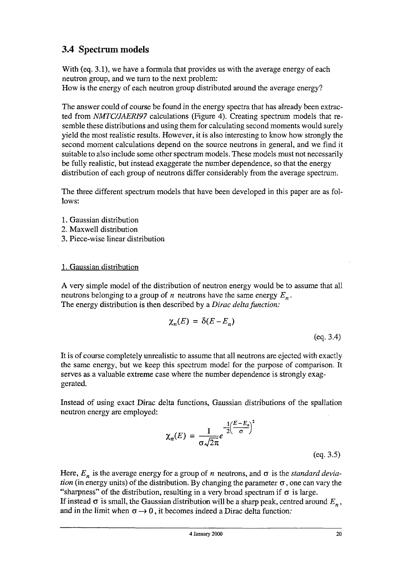# 3.4 Spectrum models

With (eq. 3.1), we have a formula that provides us with the average energy of each neutron group, and we turn to the next problem:

How is the energy of each neutron group distributed around the average energy?

The answer could of course be found in the energy spectra that has already been extracted from *NMTC/JAERI97* calculations (Figure 4). Creating spectrum models that resemble these distributions and using them for calculating second moments would surely yield the most realistic results. However, it is also interesting to know how strongly the second moment calculations depend on the source neutrons in general, and we find it suitable to also include some other spectrum models. These models must not necessarily be fully realistic, but instead exaggerate the number dependence, so that the energy distribution of each group of neutrons differ considerably from the average spectrum.

The three different spectrum models that have been developed in this paper are as follows:

- 1. Gaussian distribution
- 2. Maxwell distribution
- 3. Piece-wise linear distribution

#### 1. Gaussian distribution

A very simple model of the distribution of neutron energy would be to assume that all neutrons belonging to a group of *n* neutrons have the same energy *En.* The energy distribution is then described by a *Dirac delta function:*

$$
\chi_n(E) = \delta(E - E_n) \tag{eq. 3.4}
$$

It is of course completely unrealistic to assume that all neutrons are ejected with exactly the same energy, but we keep this spectrum model for the purpose of comparison. It serves as a valuable extreme case where the number dependence is strongly exaggerated.

Instead of using exact Dirac delta functions, Gaussian distributions of the spallation neutron energy are employed:

$$
\chi_n(E) = \frac{1}{\sigma \sqrt{2\pi}} e^{-\frac{1}{2} \left(\frac{E - E_n}{\sigma}\right)^2}
$$
 (eq. 3.5)

Here,  $E_n$  is the average energy for a group of *n* neutrons, and  $\sigma$  is the *standard deviation* (in energy units) of the distribution. By changing the parameter  $\sigma$ , one can vary the "sharpness" of the distribution, resulting in a very broad spectrum if  $\sigma$  is large. If instead  $\sigma$  is small, the Gaussian distribution will be a sharp peak, centred around  $E_n$ , and in the limit when  $\sigma \rightarrow 0$ , it becomes indeed a Dirac delta function: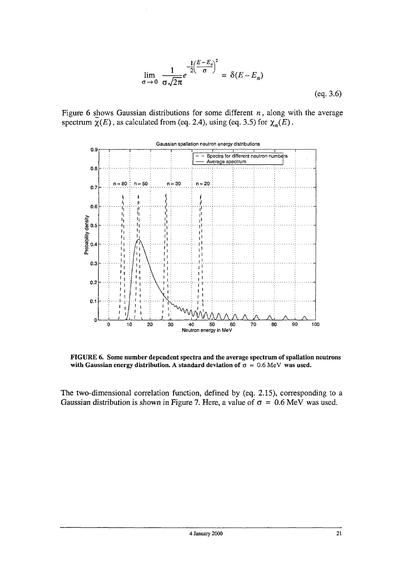$$
\lim_{\sigma \to 0} \frac{1}{\sigma \sqrt{2\pi}} e^{-\frac{1}{2} \left(\frac{E - E_n}{\sigma}\right)^2} = \delta(E - E_n)
$$
\n(eq. 3.6)

Figure 6 shows Gaussian distributions for some different *n,* along with the average spectrum  $\overline{\chi}(E)$ , as calculated from (eq. 2.4), using (eq. 3.5) for  $\chi_n(E)$ .



FIGURE *6.* Some number dependent spectra and the average spectrum of spallation neutrons with Gaussian energy distribution. A standard deviation of  $\sigma = 0.6$  MeV was used.

The two-dimensional correlation function, defined by (eq. 2.15), corresponding to a Gaussian distribution is shown in Figure 7. Here, a value of  $\sigma = 0.6$  MeV was used.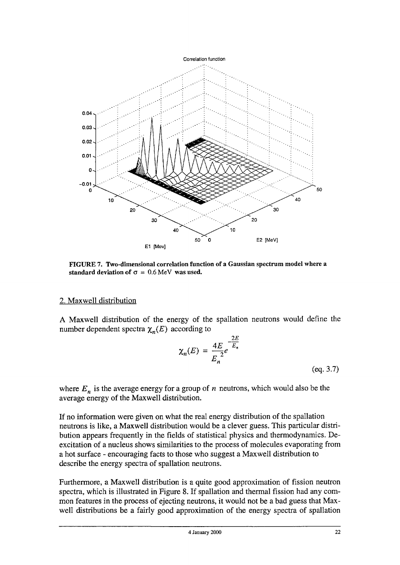

FIGURE 7. Two-dimensional correlation function of a Gaussian spectrum model where a standard deviation of  $\sigma = 0.6$  MeV was used.

#### 2. Maxwell distribution

A Maxwell distribution of the energy of the spallation neutrons would define the number dependent spectra  $\chi_n(E)$  according to

$$
\chi_n(E) = \frac{4E}{E_n^2} e^{-\frac{2E}{E_n}}
$$
\n(eq. 3.7)

where  $E_n$  is the average energy for a group of  $n$  neutrons, which would also be the average energy of the Maxwell distribution.

If no information were given on what the real energy distribution of the spallation neutrons is like, a Maxwell distribution would be a clever guess. This particular distribution appears frequently in the fields of statistical physics and thermodynamics. Deexcitation of a nucleus shows similarities to the process of molecules evaporating from a hot surface - encouraging facts to those who suggest a Maxwell distribution to describe the energy spectra of spallation neutrons.

Furthermore, a Maxwell distribution is a quite good approximation of fission neutron spectra, which is illustrated in Figure 8. If spallation and thermal fission had any common features in the process of ejecting neutrons, it would not be a bad guess that Maxwell distributions be a fairly good approximation of the energy spectra of spallation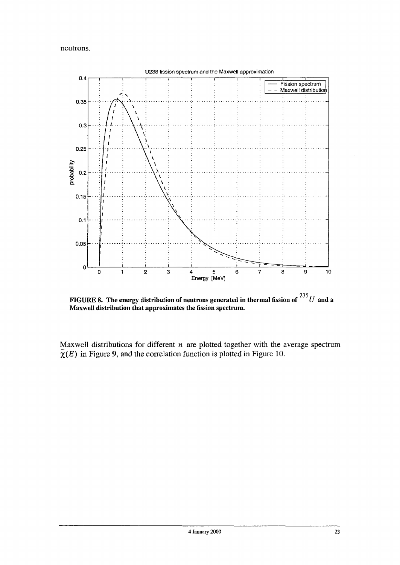neutrons.



FIGURE 8. The energy distribution of neutrons generated in thermal fission of  $^{235}U\,$  and a Maxwell distribution that approximates the fission spectrum.

Maxwell distributions for different *n* are plotted together with the average spectrum  $\overline{\chi}(E)$  in Figure 9, and the correlation function is plotted in Figure 10.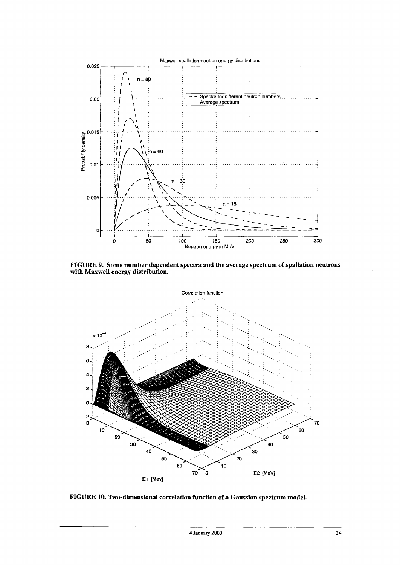

FIGURE 9. Some number dependent spectra and the average spectrum of spallation neutrons with Maxwell energy distribution.



FIGURE 10. Two-dimensional correlation function of a Gaussian spectrum model.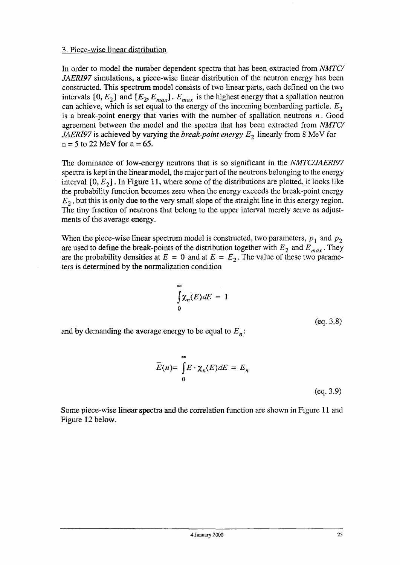#### 3. Piece-wise linear distribution

In order to model the number dependent spectra that has been extracted from *NMTC/ JAERI97* simulations, a piece-wise linear distribution of the neutron energy has been constructed. This spectrum model consists of two linear parts, each defined on the two intervals  $[0, E_2]$  and  $[E_2, E_{max}]$ .  $E_{max}$  is the highest energy that a spallation neutron can achieve, which is set equal to the energy of the incoming bombarding particle. *E<sup>2</sup>* is a break-point energy that varies with the number of spallation neutrons *n.* Good agreement between the model and the spectra that has been extracted from *NMTC/ JAERI97* is achieved by varying the *break-point energy E2* linearly from 8 MeV for  $n = 5$  to 22 MeV for  $n = 65$ .

The dominance of low-energy neutrons that is so significant in the *NMTC/JAERI97* spectra is kept in the linear model, the major part of the neutrons belonging to the energy interval  $[0, E<sub>2</sub>]$ . In Figure 11, where some of the distributions are plotted, it looks like the probability function becomes zero when the energy exceeds the break-point energy *E2,* but this is only due to the very small slope of the straight line in this energy region. The tiny fraction of neutrons that belong to the upper interval merely serve as adjustments of the average energy.

When the piece-wise linear spectrum model is constructed, two parameters,  $p_1$  and  $p_2$ are used to define the break-points of the distribution together with  $E_2$  and  $E_{max}$ . They are the probability densities at  $E = 0$  and at  $E = E_2$ . The value of these two parameters is determined by the normalization condition

$$
\int_{0}^{\infty} \chi_{n}(E) dE = 1
$$

(eq. 3.8)

and by demanding the average energy to be equal to *En:*

$$
\overline{E}(n) = \int_{0}^{\infty} E \cdot \chi_{n}(E) dE = E_{n}
$$
\n(eq. 3.9)

Some piece-wise linear spectra and the correlation function are shown in Figure 11 and Figure 12 below.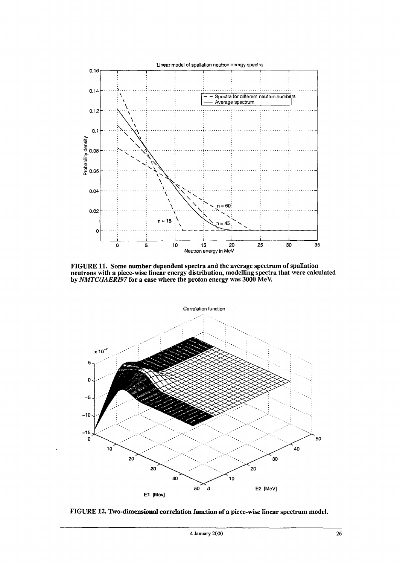

FIGURE 11. Some number dependent spectra and the average spectrum of spallation neutrons with a piece-wise linear energy distribution, modelling spectra that were calculated by *NMTC/JAERI97* for a case where the proton energy was 3000 MeV.



FIGURE 12. Two-dimensional correlation function of a piece-wise linear spectrum model.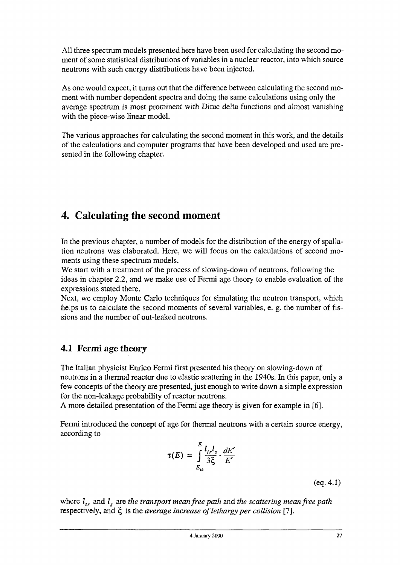All three spectrum models presented here have been used for calculating the second moment of some statistical distributions of variables in a nuclear reactor, into which source neutrons with such energy distributions have been injected.

As one would expect, it turns out that the difference between calculating the second moment with number dependent spectra and doing the same calculations using only the average spectrum is most prominent with Dirac delta functions and almost vanishing with the piece-wise linear model.

The various approaches for calculating the second moment in this work, and the details of the calculations and computer programs that have been developed and used are presented in the following chapter.

# **4. Calculating the second moment**

In the previous chapter, a number of models for the distribution of the energy of spallation neutrons was elaborated. Here, we will focus on the calculations of second moments using these spectrum models.

We start with a treatment of the process of slowing-down of neutrons, following the ideas in chapter 2.2, and we make use of Fermi age theory to enable evaluation of the expressions stated there.

Next, we employ Monte Carlo techniques for simulating the neutron transport, which helps us to calculate the second moments of several variables, e. g. the number of fissions and the number of out-leaked neutrons.

### 4.1 Fermi age theory

The Italian physicist Enrico Fermi first presented his theory on slowing-down of neutrons in a thermal reactor due to elastic scattering in the 1940s. In this paper, only a few concepts of the theory are presented, just enough to write down a simple expression for the non-leakage probability of reactor neutrons.

A more detailed presentation of the Fermi age theory is given for example in [6].

Fermi introduced the concept of age for thermal neutrons with a certain source energy, according to

$$
\tau(E) = \int_{E_{th}}^{E} \frac{l_{tr}l_s}{3\xi} \cdot \frac{dE'}{E'}
$$

(eq.4.1)

where *ltr* and *l<sup>s</sup>* are *the transport mean free path* and *the scattering mean free path* respectively, and £ is the *average increase of lethargy per collision* [7].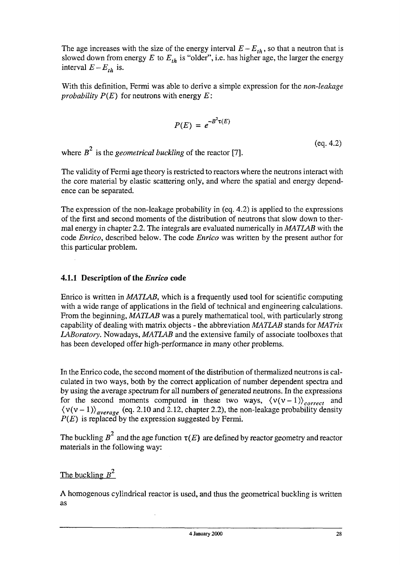The age increases with the size of the energy interval  $E - E_{th}$ , so that a neutron that is slowed down from energy *E* to *Eth* is "older", i.e. has higher age, the larger the energy interval  $E - E_{th}$  is.

With this definition, Fermi was able to derive a simple expression for the *non-leakage probability P{E)* for neutrons with energy *E:*

$$
P(E) = e^{-B^2 \tau(E)}
$$

 $^{2}$  (eq. 4.2) where  $B^2$  is the *geometrical buckling* of the reactor [7].

The validity of Fermi age theory is restricted to reactors where the neutrons interact with the core material by elastic scattering only, and where the spatial and energy dependence can be separated.

The expression of the non-leakage probability in (eq. 4.2) is applied to the expressions of the first and second moments of the distribution of neutrons that slow down to thermal energy in chapter 2.2. The integrals are evaluated numerically in *MATLAB* with the code *Enrico,* described below. The code *Enrico* was written by the present author for this particular problem.

#### **4.1.1 Description of the** *Enrico* **code**

Enrico is written in *MATLAB,* which is a frequently used tool for scientific computing with a wide range of applications in the field of technical and engineering calculations. From the beginning, *MATLAB* was a purely mathematical tool, with particularly strong capability of dealing with matrix objects - the abbreviation *MATLAB* stands for *MATrix LABoratory.* Nowadays, *MATLAB* and the extensive family of associate toolboxes that has been developed offer high-performance in many other problems.

In the Enrico code, the second moment of the distribution of thermalized neutrons is calculated in two ways, both by the correct application of number dependent spectra and by using the average spectrum for all numbers of generated neutrons. In the expressions for the second moments computed in these two ways,  $\langle v(v-1) \rangle_{correct}$  and  $\langle v(v-1)\rangle_{average}$  (eq. 2.10 and 2.12, chapter 2.2), the non-leakage probability density *P{E)* is replaced by the expression suggested by Fermi.

**2** The buckling *B* and the age function *T(E)* are defined by reactor geometry and reactor materials in the following way:

#### **2** The buckling *B*

A homogenous cylindrical reactor is used, and thus the geometrical buckling is written as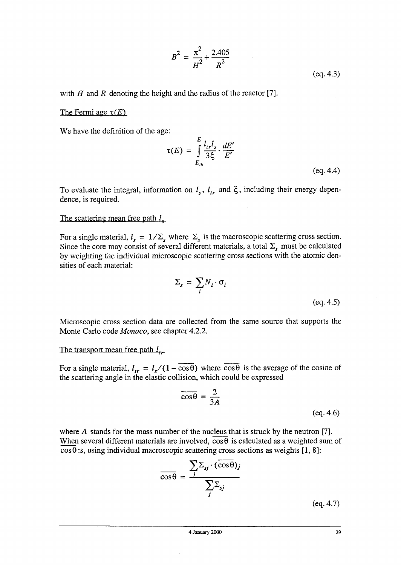$$
B^{2} = \frac{\pi^{2}}{H^{2}} + \frac{2.405}{R^{2}}
$$
 (eq. 4.3)

with  $H$  and  $R$  denoting the height and the radius of the reactor [7].

#### The Fermi age  $\tau(E)$

We have the definition of the age:

$$
\tau(E) = \int_{E_{th}}^{E} \frac{l_{tr}l_s}{3\xi} \cdot \frac{dE'}{E'}
$$
\n
$$
(eq. 4.4)
$$

To evaluate the integral, information on *l<sup>s</sup>* , *ltr* and £,, including their energy dependence, is required.

#### The scattering mean free path *I.*

For a single material,  $l_s = 1/\Sigma_s$  where  $\Sigma_s$  is the macroscopic scattering cross section. Since the core may consist of several different materials, a total  $\Sigma_{s}$  must be calculated by weighting the individual microscopic scattering cross sections with the atomic densities of each material:

$$
\Sigma_s = \sum_i N_i \cdot \sigma_i
$$
\n
$$
(eq. 4.5)
$$

Microscopic cross section data are collected from the same source that supports the Monte Carlo code *Monaco,* see chapter 4.2.2.

The transport mean free path  $l_{\text{in}}$ 

For a single material,  $l_{tr} = l_s/(1 - \cos\theta)$  where  $\cos\theta$  is the average of the cosine of the scattering angle in the elastic collision, which could be expressed

$$
\overline{\cos \theta} = \frac{2}{3A}
$$
 (eq. 4.6)

where *A* stands for the mass number of the nucleus that is struck by the neutron [7]. When several different materials are involved,  $\overline{\cos \theta}$  is calculated as a weighted sum of  $\cos\theta$ :s, using individual macroscopic scattering cross sections as weights [1, 8]:

$$
\overline{\cos\theta} = \frac{\sum_{j} \sum_{sj} \cdot (\overline{\cos\theta})_j}{\sum_{j} \sum_{sj}}
$$

(eq.4.7)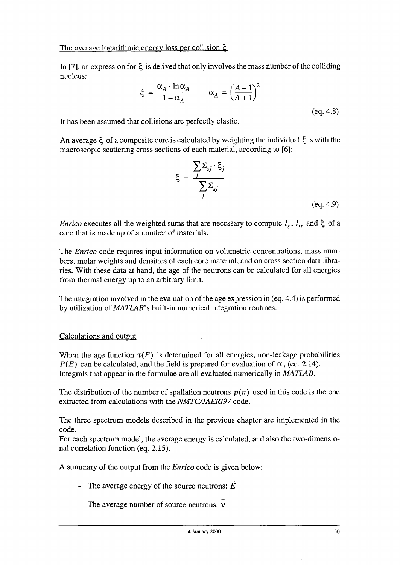In [7], an expression for  $\xi$  is derived that only involves the mass number of the colliding nucleus:

$$
\xi = \frac{\alpha_A \cdot \ln \alpha_A}{1 - \alpha_A} \qquad \alpha_A = \left(\frac{A - 1}{A + 1}\right)^2
$$
\n
$$
\text{(eq. 4.8)}
$$

It has been assumed that collisions are perfectly elastic.

An average  $\xi$  of a composite core is calculated by weighting the individual  $\xi$  :s with the macroscopic scattering cross sections of each material, according to [6]:

$$
\xi = \frac{\sum_{j} \sum_{sj} \cdot \xi_{j}}{\sum_{j} \sum_{sj}}
$$

(eq. 4.9)

*Enrico* executes all the weighted sums that are necessary to compute  $l_s$ ,  $l_{tr}$  and  $\xi$  of a core that is made up of a number of materials.

The *Enrico* code requires input information on volumetric concentrations, mass numbers, molar weights and densities of each core material, and on cross section data libraries. With these data at hand, the age of the neutrons can be calculated for all energies from thermal energy up to an arbitrary limit.

The integration involved in the evaluation of the age expression in (eq. 4.4) is performed by utilization of *MATLAB's* built-in numerical integration routines.

#### Calculations and output

When the age function  $\tau(E)$  is determined for all energies, non-leakage probabilities *P(E)* can be calculated, and the field is prepared for evaluation of  $\alpha$ , (eq. 2.14). Integrals that appear in the formulae are all evaluated numerically in *MATLAB.*

The distribution of the number of spallation neutrons  $p(n)$  used in this code is the one extracted from calculations with the *NMTC/JAERI97* code.

The three spectrum models described in the previous chapter are implemented in the code.

For each spectrum model, the average energy is calculated, and also the two-dimensional correlation function (eq. 2.15).

A summary of the output from the *Enrico* code is given below:

- The average energy of the source neutrons:  $\overline{E}$
- The average number of source neutrons:  $\overline{v}$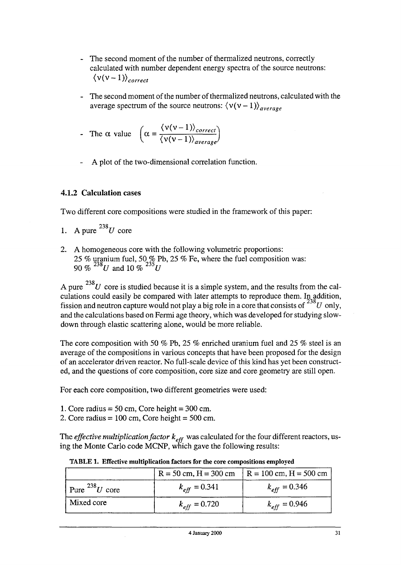- The second moment of the number of thermalized neutrons, correctly calculated with number dependent energy spectra of the source neutrons:  $\langle v(v-1) \rangle_{correct}$
- The second moment of the number of thermalized neutrons, calculated with the average spectrum of the source neutrons:  $\langle v(v-1) \rangle_{average}$

The α value 
$$
\left( \alpha = \frac{\langle v(v-1) \rangle_{correct}}{\langle v(v-1) \rangle_{average}} \right)
$$

A plot of the two-dimensional correlation function.

#### **4.1.2 Calculation** cases

Two different core compositions were studied in the framework of this paper:

1. A pure  $^{238}U$  core

Mixed core

2. A homogeneous core with the following volumetric proportions: 25 % uranium fuel, 50 % Pb, 25 % Fe, where the fuel composition was: 90 % *23SU* and 10 *%<sup>235</sup>U*

A pure  $^{238}U$  core is studied because it is a simple system, and the results from the calculations could easily be compared with later attempts to reproduce them. In addition, fission and neutron capture would not play a big role in a core that consists of  $^{238}U$  only, and the calculations based on Fermi age theory, which was developed for studying slowdown through elastic scattering alone, would be more reliable.

The core composition with 50 % Pb, 25 % enriched uranium fuel and 25 % steel is an average of the compositions in various concepts that have been proposed for the design of an accelerator driven reactor. No full-scale device of this kind has yet been constructed, and the questions of core composition, core size and core geometry are still open.

For each core composition, two different geometries were used:

- 1. Core radius  $= 50$  cm, Core height  $= 300$  cm.
- 2. Core radius =  $100 \text{ cm}$ , Core height =  $500 \text{ cm}$ .

The *effective multiplication factor*  $k_{eff}$  was calculated for the four different reactors, using the Monte Carlo code MCNP, which gave the following results:

Pure  $^{238}U$  core  $R = 50$  cm,  $H = 300$  cm *keff =* 0.341  $R = 100$  cm,  $H = 500$  cm  $k_{eff} = 0.346$ 

 $k_{eff} = 0.720$ 

TABLE 1. Effective multiplication factors for the core compositions employed

*keff =* 0.946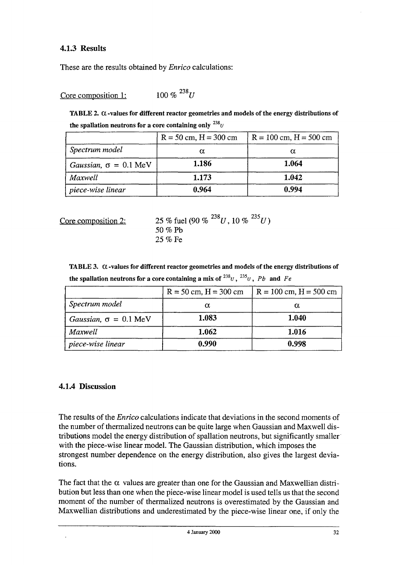#### **4.1.3 Results**

These are the results obtained by *Enrico* calculations:

Core composition 1:  $100\%$ <sup>238</sup>*U* 

TABLE 2.  $\alpha$ -values for different reactor geometries and models of the energy distributions of the spallation neutrons for a core containing only  $^{238}$ <sub>U</sub>

|                                      | $R = 50$ cm, $H = 300$ cm | $R = 100$ cm, $H = 500$ cm |
|--------------------------------------|---------------------------|----------------------------|
| Spectrum model                       | α                         | α                          |
| Gaussian, $\sigma = 0.1 \text{ MeV}$ | 1.186                     | 1.064                      |
| Maxwell                              | 1.173                     | 1.042                      |
| piece-wise linear                    | 0.964                     | 0.994                      |

Core composition 2: 25 % fuel (90 %  $^{238}U$ , 10 %  $^{235}U$ ) 50 % Pb 25 % Fe

TABLE 3.  $\alpha$  -values for different reactor geometries and models of the energy distributions of the spallation neutrons for a core containing a mix of  $^{238}$ u ,  $^{235}$ u ,  $\ Pb\;$  and  $\ Fc$ 

|                                      | $R = 50$ cm, $H = 300$ cm | $R = 100$ cm, $H = 500$ cm |
|--------------------------------------|---------------------------|----------------------------|
| Spectrum model                       | α                         | α                          |
| Gaussian, $\sigma = 0.1 \text{ MeV}$ | 1.083                     | 1.040                      |
| Maxwell                              | 1.062                     | 1.016                      |
| piece-wise linear                    | 0.990                     | 0.998                      |

#### **4.1.4 Discussion**

The results of the *Enrico* calculations indicate that deviations in the second moments of the number of thermalized neutrons can be quite large when Gaussian and Maxwell distributions model the energy distribution of spallation neutrons, but significantly smaller with the piece-wise linear model. The Gaussian distribution, which imposes the strongest number dependence on the energy distribution, also gives the largest deviations.

The fact that the  $\alpha$  values are greater than one for the Gaussian and Maxwellian distribution but less than one when the piece-wise linear model is used tells us that the second moment of the number of thermalized neutrons is overestimated by the Gaussian and Maxwellian distributions and underestimated by the piece-wise linear one, if only the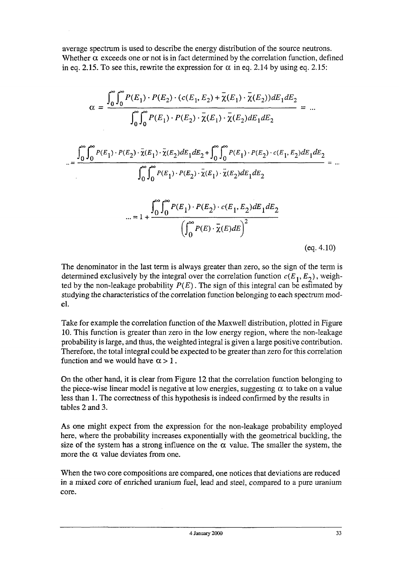average spectrum is used to describe the energy distribution of the source neutrons. Whether  $\alpha$  exceeds one or not is in fact determined by the correlation function, defined in eq. 2.15. To see this, rewrite the expression for  $\alpha$  in eq. 2.14 by using eq. 2.15:

$$
\alpha = \frac{\int_0^{\infty} \int_0^{\infty} P(E_1) \cdot P(E_2) \cdot (c(E_1, E_2) + \overline{\chi}(E_1) \cdot \overline{\chi}(E_2)) dE_1 dE_2}{\int_0^{\infty} \int_0^{\infty} P(E_1) \cdot P(E_2) \cdot \overline{\chi}(E_1) \cdot \overline{\chi}(E_2) dE_1 dE_2} = ...
$$
  

$$
= \frac{\int_0^{\infty} \int_0^{\infty} P(E_1) \cdot P(E_2) \cdot \overline{\chi}(E_1) \cdot \overline{\chi}(E_2) dE_1 dE_2 + \int_0^{\infty} \int_0^{\infty} P(E_1) \cdot P(E_2) \cdot c(E_1, E_2) dE_1 dE_2}{\int_0^{\infty} \int_0^{\infty} P(E_1) \cdot P(E_2) \cdot \overline{\chi}(E_1) \cdot \overline{\chi}(E_2) dE_1 dE_2} = ...
$$
  

$$
= 1 + \frac{\int_0^{\infty} \int_0^{\infty} P(E_1) \cdot P(E_2) \cdot c(E_1, E_2) dE_1 dE_2}{\left(\int_0^{\infty} P(E) \cdot \overline{\chi}(E) dE\right)^2}
$$
  
(eq. 4.10)

The denominator in the last term is always greater than zero, so the sign of the term is determined exclusively by the integral over the correlation function  $c(E_1, E_2)$ , weighted by the non-leakage probability  $P(E)$ . The sign of this integral can be estimated by studying the characteristics of the correlation function belonging to each spectrum model.

Take for example the correlation function of the Maxwell distribution, plotted in Figure 10. This function is greater than zero in the low energy region, where the non-leakage probability is large, and thus, the weighted integral is given a large positive contribution. Therefore, the total integral could be expected to be greater than zero for this correlation function and we would have  $\alpha > 1$ .

On the other hand, it is clear from Figure 12 that the correlation function belonging to the piece-wise linear model is negative at low energies, suggesting  $\alpha$  to take on a value less than 1. The correctness of this hypothesis is indeed confirmed by the results in tables 2 and 3.

As one might expect from the expression for the non-leakage probability employed here, where the probability increases exponentially with the geometrical buckling, the size of the system has a strong influence on the  $\alpha$  value. The smaller the system, the more the  $\alpha$  value deviates from one.

When the two core compositions are compared, one notices that deviations are reduced in a mixed core of enriched uranium fuel, lead and steel, compared to a pure uranium core.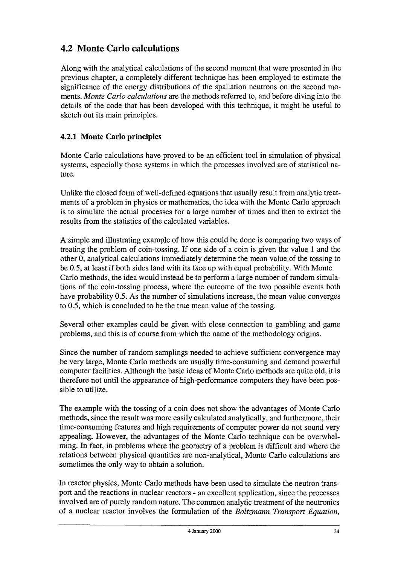# 4.2 Monte Carlo calculations

Along with the analytical calculations of the second moment that were presented in the previous chapter, a completely different technique has been employed to estimate the significance of the energy distributions of the spallation neutrons on the second moments. *Monte Carlo calculations* are the methods referred to, and before diving into the details of the code that has been developed with this technique, it might be useful to sketch out its main principles.

#### **4.2.1 Monte Carlo principles**

Monte Carlo calculations have proved to be an efficient tool in simulation of physical systems, especially those systems in which the processes involved are of statistical nature.

Unlike the closed form of well-defined equations that usually result from analytic treatments of a problem in physics or mathematics, the idea with the Monte Carlo approach is to simulate the actual processes for a large number of times and then to extract the results from the statistics of the calculated variables.

A simple and illustrating example of how this could be done is comparing two ways of treating the problem of coin-tossing. If one side of a coin is given the value 1 and the other 0, analytical calculations immediately determine the mean value of the tossing to be 0.5, at least if both sides land with its face up with equal probability. With Monte Carlo methods, the idea would instead be to perform a large number of random simulations of the coin-tossing process, where the outcome of the two possible events both have probability 0.5. As the number of simulations increase, the mean value converges to 0.5, which is concluded to be the true mean value of the tossing.

Several other examples could be given with close connection to gambling and game problems, and this is of course from which the name of the methodology origins.

Since the number of random samplings needed to achieve sufficient convergence may be very large, Monte Carlo methods are usually time-consuming and demand powerful computer facilities. Although the basic ideas of Monte Carlo methods are quite old, it is therefore not until the appearance of high-performance computers they have been possible to utilize.

The example with the tossing of a coin does not show the advantages of Monte Carlo methods, since the result was more easily calculated analytically, and furthermore, their time-consuming features and high requirements of computer power do not sound very appealing. However, the advantages of the Monte Carlo technique can be overwhelming. In fact, in problems where the geometry of a problem is difficult and where the relations between physical quantities are non-analytical, Monte Carlo calculations are sometimes the only way to obtain a solution.

In reactor physics, Monte Carlo methods have been used to simulate the neutron transport and the reactions in nuclear reactors - an excellent application, since the processes involved are of purely random nature. The common analytic treatment of the neutronics of a nuclear reactor involves the formulation of the *Boltzmann Transport Equation,*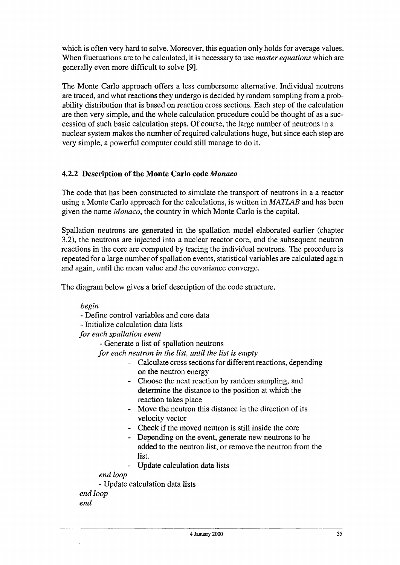which is often very hard to solve. Moreover, this equation only holds for average values. When fluctuations are to be calculated, it is necessary to use *master equations* which are generally even more difficult to solve [9],

The Monte Carlo approach offers a less cumbersome alternative. Individual neutrons are traced, and what reactions they undergo is decided by random sampling from a probability distribution that is based on reaction cross sections. Each step of the calculation are then very simple, and the whole calculation procedure could be thought of as a succession of such basic calculation steps. Of course, the large number of neutrons in a nuclear system makes the number of required calculations huge, but since each step are very simple, a powerful computer could still manage to do it.

#### **4.2.2 Description of the Monte Carlo code** *Monaco*

The code that has been constructed to simulate the transport of neutrons in a a reactor using a Monte Carlo approach for the calculations, is written in *MATLAB* and has been given the name *Monaco,* the country in which Monte Carlo is the capital.

Spallation neutrons are generated in the spallation model elaborated earlier (chapter 3.2), the neutrons are injected into a nuclear reactor core, and the subsequent neutron reactions in the core are computed by tracing the individual neutrons. The procedure is repeated for a large number of spallation events, statistical variables are calculated again and again, until the mean value and the covariance converge.

The diagram below gives a brief description of the code structure.

*begin*

- Define control variables and core data

- Initialize calculation data lists

*for each spallation event*

- Generate a list of spallation neutrons

*for each neutron in the list, until the list is empty*

- Calculate cross sections for different reactions, depending on the neutron energy
- Choose the next reaction by random sampling, and determine the distance to the position at which the reaction takes place
- Move the neutron this distance in the direction of its velocity vector
- Check if the moved neutron is still inside the core
- Depending on the event, generate new neutrons to be added to the neutron list, or remove the neutron from the list.
- Update calculation data lists

*end loop*

*-* Update calculation data lists

*end loop end*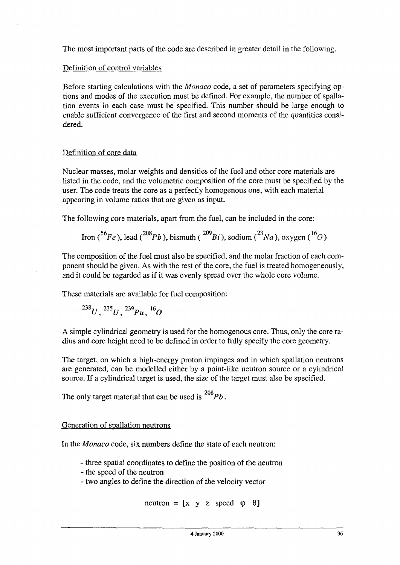The most important parts of the code are described in greater detail in the following.

#### Definition of control variables

Before starting calculations with the *Monaco* code, a set of parameters specifying options and modes of the execution must be defined. For example, the number of spallation events in each case must be specified. This number should be large enough to enable sufficient convergence of the first and second moments of the quantities considered.

#### Definition of core data

Nuclear masses, molar weights and densities of the fuel and other core materials are listed in the code, and the volumetric composition of the core must be specified by the user. The code treats the core as a perfectly homogenous one, with each material appearing in volume ratios that are given as input.

The following core materials, apart from the fuel, can be included in the core:

$$
\text{Iron } (5^6Fe), \text{lead } (2^{08}Pb), \text{ bismuth } (2^{09}Bi), \text{ sodium } (2^3Na), \text{ oxygen } (1^6O)
$$

The composition of the fuel must also be specified, and the molar fraction of each component should be given. As with the rest of the core, the fuel is treated homogeneously, and it could be regarded as if it was evenly spread over the whole core volume.

These materials are available for fuel composition:

$$
^{238}U,~^{235}U,~^{239}Pu,~^{16}O
$$

A simple cylindrical geometry is used for the homogenous core. Thus, only the core radius and core height need to be defined in order to fully specify the core geometry.

The target, on which a high-energy proton impinges and in which spallation neutrons are generated, can be modelled either by a point-like neutron source or a cylindrical source. If a cylindrical target is used, the size of the target must also be specified.

208 The only target material that can be used is *Pb.*

#### Generation of spallation neutrons

In the *Monaco* code, six numbers define the state of each neutron:

- three spatial coordinates to define the position of the neutron
- the speed of the neutron
- two angles to define the direction of the velocity vector

neutron =  $[x \ y \ z \ speed \ \varphi \ \theta]$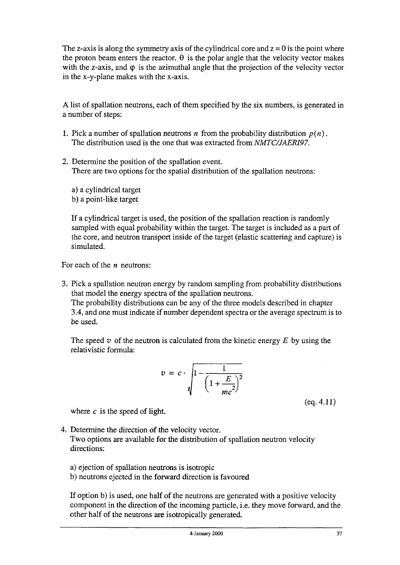The z-axis is along the symmetry axis of the cylindrical core and  $z = 0$  is the point where the proton beam enters the reactor.  $\theta$  is the polar angle that the velocity vector makes with the z-axis, and  $\varphi$  is the azimuthal angle that the projection of the velocity vector in the x-y-plane makes with the x-axis.

A list of spallation neutrons, each of them specified by the six numbers, is generated in a number of steps:

- 1. Pick a number of spallation neutrons *n* from the probability distribution  $p(n)$ . The distribution used is the one that was extracted from *NMTC/JAERI97.*
- *2.* Determine the position of the spallation event. There are two options for the spatial distribution of the spallation neutrons:

a) a cylindrical target b) a point-like target

If a cylindrical target is used, the position of the spallation reaction is randomly sampled with equal probability within the target. The target is included as a part of the core, and neutron transport inside of the target (elastic scattering and capture) is simulated.

For each of the *n* neutrons:

3. Pick a spallation neutron energy by random sampling from probability distributions that model the energy spectra of the spallation neutrons. The probability distributions can be any of the three models described in chapter 3.4, and one must indicate if number dependent spectra or the average spectrum is to be used.

The speed *v* of the neutron is calculated from the kinetic energy *E* by using the relativistic formula:

$$
v = c \cdot \sqrt{1 - \frac{1}{\left(1 + \frac{E}{mc^2}\right)^2}}
$$

(eq.4.11)

where *c* is the speed of light.

- 4. Determine the direction of the velocity vector. Two options are available for the distribution of spallation neutron velocity directions:
	- a) ejection of spallation neutrons is isotropic
	- b) neutrons ejected in the forward direction is favoured

If option b) is used, one half of the neutrons are generated with a positive velocity component in the direction of the incoming particle, i.e. they move forward, and the other half of the neutrons are isotropically generated.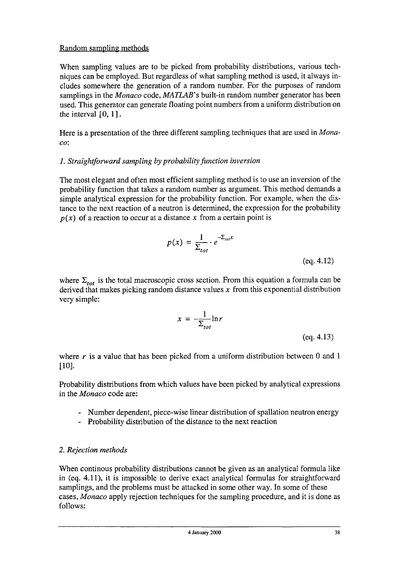#### Random sampling methods

When sampling values are to be picked from probability distributions, various techniques can be employed. But regardless of what sampling method is used, it always includes somewhere the generation of a random number. For the purposes of random samplings in the *Monaco* code, *MATLAB's* built-in random number generator has been used. This generator can generate floating point numbers from a uniform distribution on the interval  $[0, 1]$ .

Here is a presentation of the three different sampling techniques that are used in *Monaco:*

#### *1. Straightforward sampling by probability function inversion*

The most elegant and often most efficient sampling method is to use an inversion of the probability function that takes a random number as argument. This method demands a simple analytical expression for the probability function. For example, when the distance to the next reaction of a neutron is determined, the expression for the probability  $p(x)$  of a reaction to occur at a distance x from a certain point is

$$
p(x) = \frac{1}{\sum_{tot}} \cdot e^{-\sum_{tot} x}
$$
\n
$$
(eq. 4.12)
$$

where  $\Sigma_{tot}$  is the total macroscopic cross section. From this equation a formula can be derived that makes picking random distance values *x* from this exponential distribution very simple:

$$
x = -\frac{1}{\Sigma_{tot}} \ln r
$$

(eq.4.13)

where r is a value that has been picked from a uniform distribution between 0 and 1 [10].

Probability distributions from which values have been picked by analytical expressions in the *Monaco* code are:

- Number dependent, piece-wise linear distribution of spallation neutron energy
- Probability distribution of the distance to the next reaction

#### *2. Rejection methods*

When continous probability distributions cannot be given as an analytical formula like in (eq. 4.11), it is impossible to derive exact analytical formulas for straightforward samplings, and the problems must be attacked in some other way. In some of these cases, *Monaco* apply rejection techniques for the sampling procedure, and it is done as follows: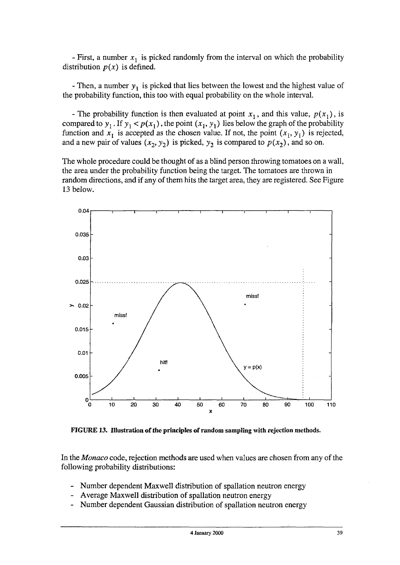- First, a number *x<sup>l</sup>* is picked randomly from the interval on which the probability distribution  $p(x)$  is defined.

- Then, a number  $y_1$  is picked that lies between the lowest and the highest value of the probability function, this too with equal probability on the whole interval.

- The probability function is then evaluated at point  $x_1$ , and this value,  $p(x_1)$ , is compared to  $y_1$ . If  $y_1 < p(x_1)$ , the point  $(x_1, y_1)$  lies below the graph of the probability function and  $x_1$  is accepted as the chosen value. If not, the point  $(x_1, y_1)$  is rejected, and a new pair of values  $(x_2, y_2)$  is picked,  $y_2$  is compared to  $p(x_2)$ , and so on.

The whole procedure could be thought of as a blind person throwing tomatoes on a wall, the area under the probability function being the target. The tomatoes are thrown in random directions, and if any of them hits the target area, they are registered. See Figure 13 below.



**FIGURE 13. Illustration of the principles of random sampling with rejection methods.**

In the *Monaco* code, rejection methods are used when values are chosen from any of the following probability distributions:

- Number dependent Maxwell distribution of spallation neutron energy
- Average Maxwell distribution of spallation neutron energy
- Number dependent Gaussian distribution of spallation neutron energy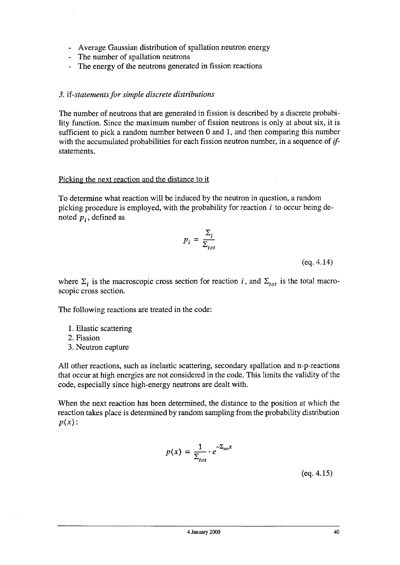- Average Gaussian distribution of spallation neutron energy
- The number of spallation neutrons
- The energy of the neutrons generated in fission reactions

#### *3.* if *-statements for simple discrete distributions*

The number of neutrons that are generated in fission is described by a discrete probability function. Since the maximum number of fission neutrons is only at about six, it is sufficient to pick a random number between 0 and 1, and then comparing this number with the accumulated probabilities for each fission neutron number, in a sequence of *if*statements.

#### Picking the next reaction and the distance to it

To determine what reaction will be induced by the neutron in question, a random picking procedure is employed, with the probability for reaction *i* to occur being denoted  $p_i$ , defined as

$$
p_i = \frac{\Sigma_i}{\Sigma_{tot}}
$$

(eq.4.14)

where  $\Sigma_i$  is the macroscopic cross section for reaction *i*, and  $\Sigma_{tot}$  is the total macroscopic cross section.

The following reactions are treated in the code:

- 1. Elastic scattering
- 2. Fission
- 3. Neutron capture

All other reactions, such as inelastic scattering, secondary spallation and n-p-reactions that occur at high energies are not considered in the code. This limits the validity of the code, especially since high-energy neutrons are dealt with.

When the next reaction has been determined, the distance to the position at which the reaction takes place is determined by random sampling from the probability distribution *p{x):*

$$
p(x) = \frac{1}{\Sigma_{tot}} \cdot e^{-\Sigma_{tot}x}
$$

(eq.4.15)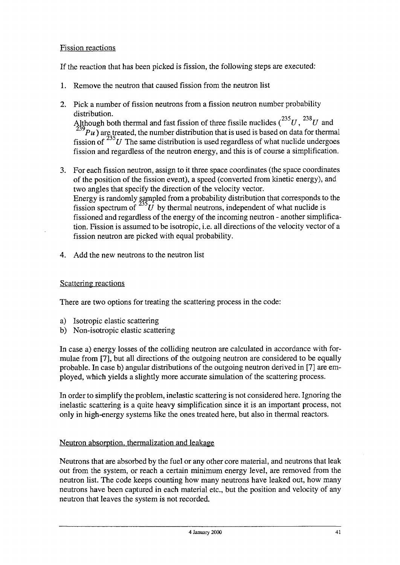#### Fission reactions

If the reaction that has been picked is fission, the following steps are executed:

- 1. Remove the neutron that caused fission from the neutron list
- 2. Pick a number of fission neutrons from a fission neutron number probability distribution. 235 23g

Although both thermal and fast fission of three fissile nuclides  $({}^{23}U, {}^{23}U$  and  $\overrightarrow{P}$  are treated, the number distribution that is used is based on data for thermal fission of  $235$ U The same distribution is used regardless of what nuclide undergoes fission and regardless of the neutron energy, and this is of course a simplification.

- 3. For each fission neutron, assign to it three space coordinates (the space coordinates of the position of the fission event), a speed (converted from kinetic energy), and two angles that specify the direction of the velocity vector. Energy is randomly sampled from a probability distribution that corresponds to the fission spectrum of  $^{235}U$  by thermal neutrons, independent of what nuclide is fissioned and regardless of the energy of the incoming neutron - another simplification. Fission is assumed to be isotropic, i.e. all directions of the velocity vector of a fission neutron are picked with equal probability.
- 4. Add the new neutrons to the neutron list

#### Scattering reactions

There are two options for treating the scattering process in the code:

- a) Isotropic elastic scattering
- b) Non-isotropic elastic scattering

In case a) energy losses of the colliding neutron are calculated in accordance with formulae from [7], but all directions of the outgoing neutron are considered to be equally probable. In case b) angular distributions of the outgoing neutron derived in [7] are employed, which yields a slightly more accurate simulation of the scattering process.

In order to simplify the problem, inelastic scattering is not considered here. Ignoring the inelastic scattering is a quite heavy simplification since it is an important process, not only in high-energy systems like the ones treated here, but also in thermal reactors.

#### Neutron absorption, thermalization and leakage

Neutrons that are absorbed by the fuel or any other core material, and neutrons that leak out from the system, or reach a certain minimum energy level, are removed from the neutron list. The code keeps counting how many neutrons have leaked out, how many neutrons have been captured in each material etc., but the position and velocity of any neutron that leaves the system is not recorded.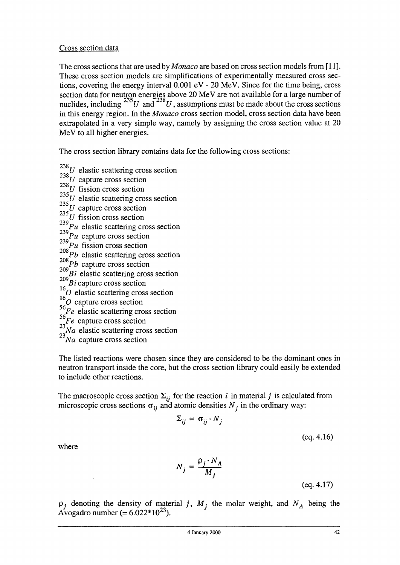#### Cross section data

The cross sections that are used by *Monaco* are based on cross section models from [11]. These cross section models are simplifications of experimentally measured cross sections, covering the energy interval 0.001 eV - 20 MeV. Since for the time being, cross section data for neutron energies above 20 MeV are not available for a large number of nuclides, including  $\frac{230}{U}$  and  $\frac{236}{U}$ , assumptions must be made about the cross sections in this energy region. In the *Monaco* cross section model, cross section data have been extrapolated in a very simple way, namely by assigning the cross section value at 20 MeV to all higher energies.

The cross section library contains data for the following cross sections:

- 238 *U* elastic scattering cross section
- $\frac{238}{U}$  capture cross section
- $^{238}_{225}U$  fission cross section
- 235 *U* elastic scattering cross section
- 
- $\frac{235}{225}$ *U* fission cross section
- $^{239}_{239}Pu$  elastic scattering cr
- $Pu$  capture cross section
- 
- $\frac{208}{208}$ *Pu* fission cross section<br>208*Pb* elastic scattering cross
- *Pb* capture cross section
- *P<sub>l</sub>* clasue scaliering cross
- $\overline{2}$
- $^{16}$  $^{16}$  elastic scattering cross section
- <sup>16</sup>O capture cross section
- <sup>56</sup>/<sub>*See elastic scattering cross section*</sub>
- *Fe* capture cross section
- *Na* elastic scattering cross section
- $\frac{23}{Na}$  capture cross section

The listed reactions were chosen since they are considered to be the dominant ones in neutron transport inside the core, but the cross section library could easily be extended to include other reactions. neutron transport inside the core, but the core, but the core, but the cross section library could easily be e

The macroscopic cross see  $T_{ij}$  and  $T_{ij}$  for the contract  $T_{ij}$  are the reaction  $i$  in material  $j$  is calculated from  $i$ microscopic cross sections o^- and atomic densities *N*• in the ordinary way:

$$
\Sigma_{ij} = \sigma_{ij} \cdot N_j
$$

(eq.4.16)

where

$$
N_j = \frac{\rho_j \cdot N_A}{M_j}
$$

(eq. 4.17)

 $p_i$  denoting the density of material *j*,  $M_i$  the molar weight, and  $N_A$  being the Avogadro number (=  $6.022*10^{23}$ ).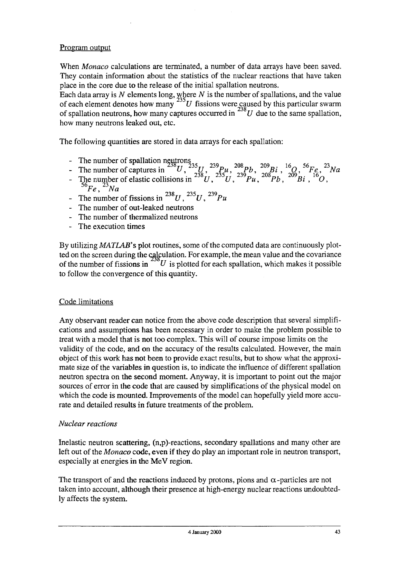#### Program output

When *Monaco* calculations are terminated, a number of data arrays have been saved. They contain information about the statistics of the nuclear reactions that have taken place in the core due to the release of the initial spallation neutrons.

Each data array is *N* elements long, where *N* is the number of spallations, and the value of each element denotes how many  $\sim U$  fissions were caused by this particular swarm of spallation neutrons, how many captures occurred in  $\frac{20}{U}$  due to the same spallation, how many neutrons leaked out, etc.

The following quantities are stored in data arrays for each spallation:

- 
- 
- The number of spallation neutrons<br>The number of captures in  $^{235}U$ ,  $^{239}Pu$ ,  $^{208}Pb$ ,  $^{209}Bi$ ,  $^{16}O$ ,  $^{56}Fe$ ,  $^{23}Na$ <br>The number of elastic collisions in  $^{238}U$ ,  $^{235}U$ ,  $^{239}Pu$ ,  $^{208}Pb$ ,  $^{209}Bi$ ,  $^{16}O$  $^{56}Fe$ <sup>23</sup>*Na*
- The number of fissions in  $^{238}U$ ,  $^{235}U$ ,  $^{239}Pu$
- The number of out-leaked neutrons
- The number of thermalized neutrons
- The execution times

By utilizing *MATLAB's* plot routines, some of the computed data are continuously plotted on the screen during the calculation. For example, the mean value and the covariance of the number of fissions in  $^{250}U$  is plotted for each spallation, which makes it possible to follow the convergence of this quantity.

#### Code limitations

Any observant reader can notice from the above code description that several simplifications and assumptions has been necessary in order to make the problem possible to treat with a model that is not too complex. This will of course impose limits on the validity of the code, and on the accuracy of the results calculated. However, the main object of this work has not been to provide exact results, but to show what the approximate size of the variables in question is, to indicate the influence of different spallation neutron spectra on the second moment. Anyway, it is important to point out the major sources of error in the code that are caused by simplifications of the physical model on which the code is mounted. Improvements of the model can hopefully yield more accurate and detailed results in future treatments of the problem.

#### *Nuclear reactions*

Inelastic neutron scattering, (n,p)-reactions, secondary spallations and many other are left out of the *Monaco* code, even if they do play an important role in neutron transport, especially at energies in the MeV region.

The transport of and the reactions induced by protons, pions and  $\alpha$ -particles are not taken into account, although their presence at high-energy nuclear reactions undoubtedly affects the system.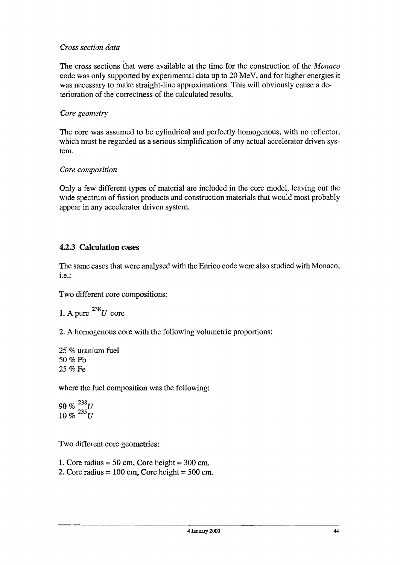#### *Cross section data*

The cross sections that were available at the time for the construction of the *Monaco* code was only supported by experimental data up to 20 MeV, and for higher energies it was necessary to make straight-line approximations. This will obviously cause a deterioration of the correctness of the calculated results.

#### *Core geometry*

The core was assumed to be cylindrical and perfectly homogenous, with no reflector, which must be regarded as a serious simplification of any actual accelerator driven system.

#### *Core composition*

Only a few different types of material are included in the core model, leaving out the wide spectrum of fission products and construction materials that would most probably appear in any accelerator driven system.

#### **42.3 Calculation cases**

The same cases that were analysed with the Enrico code were also studied with Monaco, i.e.:

Two different core compositions:

1. A pure 
$$
^{238}U
$$
 core

2. A homogenous core with the following volumetric proportions:

25 % uranium fuel 50 % Pb 25 % Fe

where the fuel composition was the following:

 $90\%$ <sup>238</sup>*U*  $10\%$ <sup>235</sup>*U* 

Two different core geometries:

- 1. Core radius  $= 50$  cm, Core height  $= 300$  cm.
- 2. Core radius =  $100 \text{ cm}$ , Core height =  $500 \text{ cm}$ .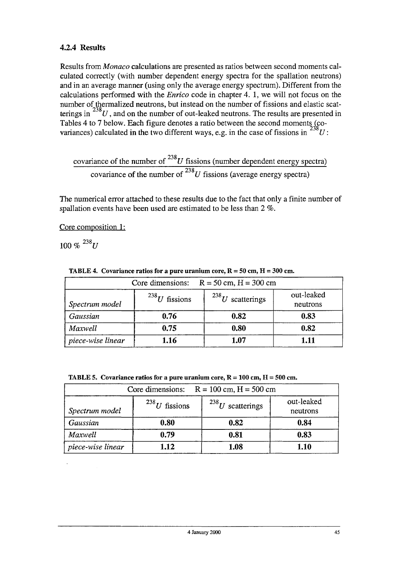#### **4.2.4 Results**

Results from *Monaco* calculations are presented as ratios between second moments calculated correctly (with number dependent energy spectra for the spallation neutrons) and in an average manner (using only the average energy spectrum). Different from the calculations performed with the *Enrico* code in chapter 4. 1, we will not focus on the number of thermalized neutrons, but instead on the number of fissions and elastic scatterings in  $^{238}U$ , and on the number of out-leaked neutrons. The results are presented in Tables 4 to 7 below. Each figure denotes a ratio between the second moments (co-Tables 4 to 7 below. Each figure denotes a ratio between the second moments ( $\frac{238}{100}$ 

covariance of the number of  $^{238}U$  fissions (number dependent energy spectra) covariance of the number of  $^{238}U$  fissions (average energy spectra)

The numerical error attached to these results due to the fact that only a finite number of spallation events have been used are estimated to be less than 2 *%.*

Core composition 1:

 $100\%$ <sup>238</sup>*U* 

|  |  |  | <b>TABLE 4.</b> Covariance ratios for a pure uranium core, $R = 50$ cm, $H = 300$ cm. |
|--|--|--|---------------------------------------------------------------------------------------|
|--|--|--|---------------------------------------------------------------------------------------|

| Core dimensions: $R = 50$ cm, $H = 300$ cm                                              |      |      |      |  |
|-----------------------------------------------------------------------------------------|------|------|------|--|
| out-leaked<br>$^{238}U$ scatterings<br>$^{238}U$ fissions<br>Spectrum model<br>neutrons |      |      |      |  |
| Gaussian                                                                                | 0.76 | 0.82 | 0.83 |  |
| Maxwell                                                                                 | 0.75 | 0.80 | 0.82 |  |
| piece-wise linear                                                                       | 1.16 | 1.07 | 1.11 |  |

TABLE 5. Covariance ratios for a pure uranium core,  $R = 100$  cm,  $H = 500$  cm.

| Core dimensions:<br>$R = 100$ cm, $H = 500$ cm                                          |      |      |      |  |  |
|-----------------------------------------------------------------------------------------|------|------|------|--|--|
| out-leaked<br>$^{238}U$ scatterings<br>$^{238}U$ fissions<br>Spectrum model<br>neutrons |      |      |      |  |  |
| Gaussian                                                                                | 0.80 | 0.82 | 0.84 |  |  |
| Maxwell                                                                                 | 0.79 | 0.81 | 0.83 |  |  |
| piece-wise linear                                                                       | 1.12 | 1.08 | 1.10 |  |  |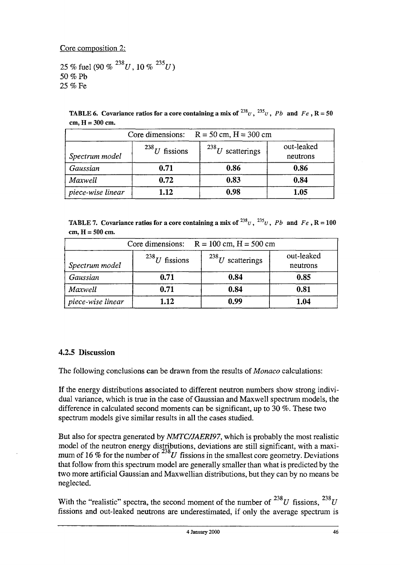Core composition 2:

25 % fuel (90 %  $^{238}U$ , 10 %  $^{235}U$ ) 50 *%* Pb 25 % Fe

TABLE 6. Covariance ratios for a core containing a mix of  $^{238}$ U,  $^{235}$ U,  $Pb$  and  $Fe$ , R = 50 cm, H = 300 cm.

| Core dimensions: $R = 50$ cm, $H = 300$ cm                                              |      |      |      |  |
|-----------------------------------------------------------------------------------------|------|------|------|--|
| out-leaked<br>$^{238}U$ fissions<br>$^{238}U$ scatterings<br>Spectrum model<br>neutrons |      |      |      |  |
| Gaussian                                                                                | 0.71 | 0.86 | 0.86 |  |
| Maxwell                                                                                 | 0.72 | 0.83 | 0.84 |  |
| piece-wise linear                                                                       | 1.12 | 0.98 | 1.05 |  |

TABLE 7. Covariance ratios for a core containing a mix of  $^{238}v$ ,  $^{235}v$ , *Pb* and *Fe*, R = 100 cm, H = 500 cm.

| Core dimensions: $R = 100$ cm, $H = 500$ cm                                             |      |      |      |  |
|-----------------------------------------------------------------------------------------|------|------|------|--|
| out-leaked<br>$^{238}U$ scatterings<br>$^{238}U$ fissions<br>Spectrum model<br>neutrons |      |      |      |  |
| Gaussian                                                                                | 0.71 | 0.84 | 0.85 |  |
| Maxwell                                                                                 | 0.71 | 0.84 | 0.81 |  |
| piece-wise linear                                                                       | 1.12 | 0.99 | 1.04 |  |

#### **4.2.5 Discussion**

The following conclusions can be drawn from the results of *Monaco* calculations:

If the energy distributions associated to different neutron numbers show strong individual variance, which is true in the case of Gaussian and Maxwell spectrum models, the difference in calculated second moments can be significant, up to 30 %. These two spectrum models give similar results in all the cases studied.

But also for spectra generated by *NMTC/JAERI97,* which is probably the most realistic model of the neutron energy distributions, deviations are still significant, with a maximum of 16 % for the number of  $^{20}U$  fissions in the smallest core geometry. Deviations that follow from this spectrum model are generally smaller than what is predicted by the two more artificial Gaussian and Maxwellian distributions, but they can by no means be neglected.

With the "realistic" spectra, the second moment of the number of  $^{238}U$  fissions,  $^{238}U$ fissions and out-leaked neutrons are underestimated, if only the average spectrum is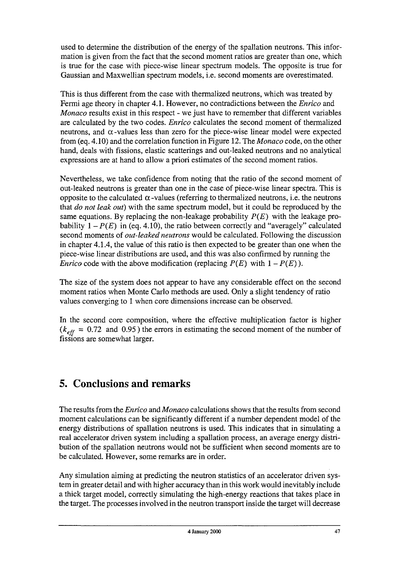used to determine the distribution of the energy of the spallation neutrons. This information is given from the fact that the second moment ratios are greater than one, which is true for the case with piece-wise linear spectrum models. The opposite is true for Gaussian and Maxwellian spectrum models, i.e. second moments are overestimated.

This is thus different from the case with thermalized neutrons, which was treated by Fermi age theory in chapter 4.1. However, no contradictions between the *Enrico* and *Monaco* results exist in this respect - we just have to remember that different variables are calculated by the two codes. *Enrico* calculates the second moment of thermalized neutrons, and  $\alpha$ -values less than zero for the piece-wise linear model were expected from (eq. 4.10) and the correlation function in Figure 12. The *Monaco* code, on the other hand, deals with fissions, elastic scatterings and out-leaked neutrons and no analytical expressions are at hand to allow a priori estimates of the second moment ratios.

Nevertheless, we take confidence from noting that the ratio of the second moment of out-leaked neutrons is greater than one in the case of piece-wise linear spectra. This is opposite to the calculated  $\alpha$ -values (referring to thermalized neutrons, i.e. the neutrons that *do not leak out)* with the same spectrum model, but it could be reproduced by the same equations. By replacing the non-leakage probability  $P(E)$  with the leakage probability  $1 - P(E)$  in (eq. 4.10), the ratio between correctly and "averagely" calculated second moments of *out-leaked neutrons* would be calculated. Following the discussion in chapter 4.1.4, the value of this ratio is then expected to be greater than one when the piece-wise linear distributions are used, and this was also confirmed by running the *Enrico* code with the above modification (replacing  $P(E)$  with  $1 - P(E)$ ).

The size of the system does not appear to have any considerable effect on the second moment ratios when Monte Carlo methods are used. Only a slight tendency of ratio values converging to 1 when core dimensions increase can be observed.

In the second core composition, where the effective multiplication factor is higher  $(k<sub>eff</sub> = 0.72$  and 0.95) the errors in estimating the second moment of the number of fissions are somewhat larger.

# 5. Conclusions and remarks

The results from the *Enrico* and *Monaco* calculations shows that the results from second moment calculations can be significantly different if a number dependent model of the energy distributions of spallation neutrons is used. This indicates that in simulating a real accelerator driven system including a spallation process, an average energy distribution of the spallation neutrons would not be sufficient when second moments are to be calculated. However, some remarks are in order.

Any simulation aiming at predicting the neutron statistics of an accelerator driven system in greater detail and with higher accuracy than in this work would inevitably include a thick target model, correctly simulating the high-energy reactions that takes place in the target. The processes involved in the neutron transport inside the target will decrease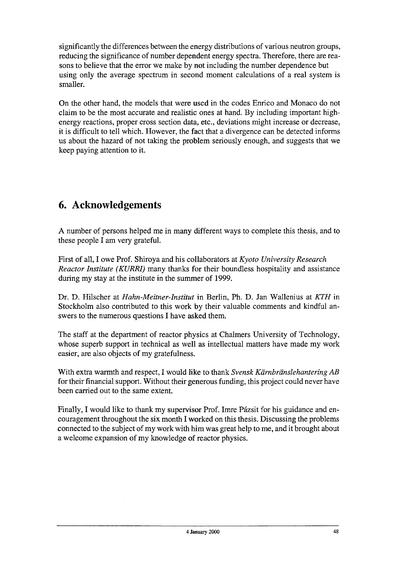significantly the differences between the energy distributions of various neutron groups, reducing the significance of number dependent energy spectra. Therefore, there are reasons to believe that the error we make by not including the number dependence but using only the average spectrum in second moment calculations of a real system is smaller.

On the other hand, the models that were used in the codes Enrico and Monaco do not claim to be the most accurate and realistic ones at hand. By including important highenergy reactions, proper cross section data, etc., deviations might increase or decrease, it is difficult to tell which. However, the fact that a divergence can be detected informs us about the hazard of not taking the problem seriously enough, and suggests that we keep paying attention to it.

# 6. Acknowledgements

A number of persons helped me in many different ways to complete this thesis, and to these people I am very grateful.

First of all, I owe Prof. Shiroya and his collaborators at *Kyoto University Research Reactor Institute (KURRI)* many thanks for their boundless hospitality and assistance during my stay at the institute in the summer of 1999.

Dr. D. Hilscher at *Hahn-Meitner-lnstitut* in Berlin, Ph. D. Jan Wallenius at *KTH* in Stockholm also contributed to this work by their valuable comments and kindful answers to the numerous questions I have asked them.

The staff at the department of reactor physics at Chalmers University of Technology, whose superb support in technical as well as intellectual matters have made my work easier, are also objects of my gratefulness.

With extra warmth and respect, I would like to thank Svensk Kärnbränslehantering AB for their financial support. Without their generous funding, this project could never have been carried out to the same extent.

Finally, I would like to thank my supervisor Prof. Imre Pázsit for his guidance and encouragement throughout the six month I worked on this thesis. Discussing the problems connected to the subject of my work with him was great help to me, and it brought about a welcome expansion of my knowledge of reactor physics.